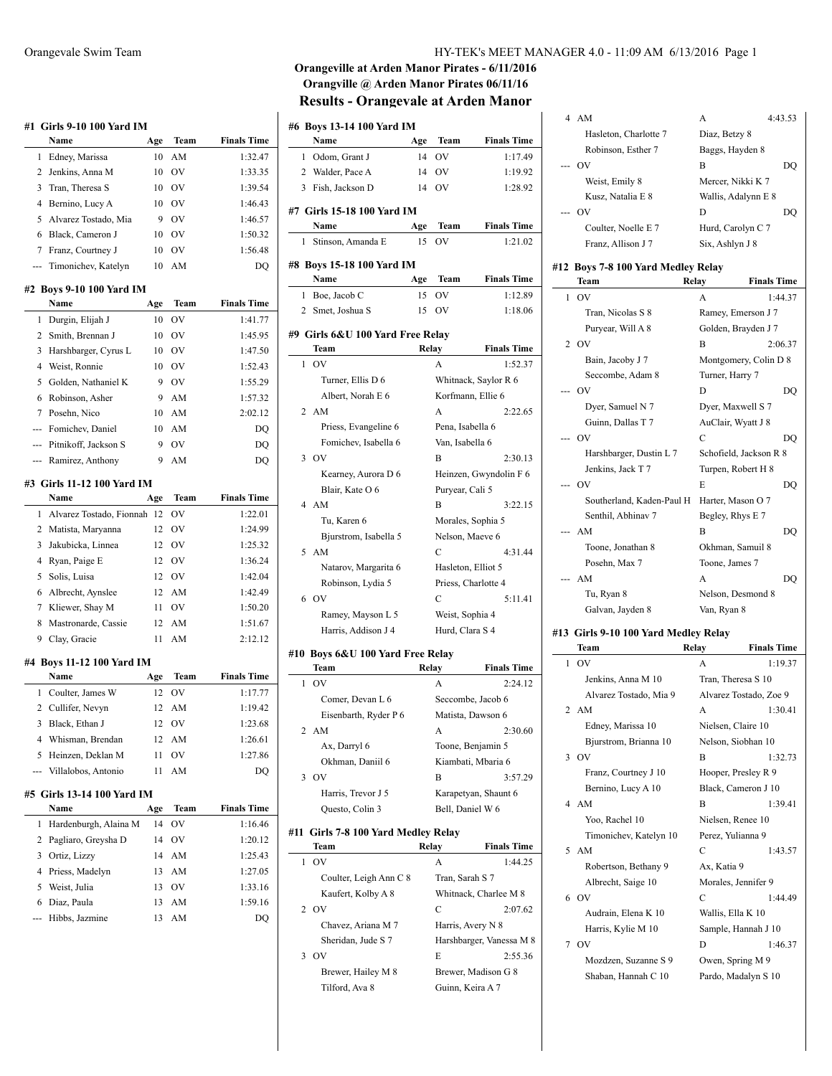|                | #1   Girls 9-10 100 Yard IM      |           |           |                    |
|----------------|----------------------------------|-----------|-----------|--------------------|
|                | Name                             | Age       | Team      | <b>Finals Time</b> |
| 1              | Edney, Marissa                   | 10        | AM        | 1:32.47            |
| 2              | Jenkins, Anna M                  | 10        | <b>OV</b> | 1:33.35            |
| 3              | Tran, Theresa S                  | 10        | <b>OV</b> | 1:39.54            |
| 4              | Bernino, Lucy A                  | 10        | OV        | 1:46.43            |
| 5              | Alvarez Tostado, Mia             | 9         | OV        | 1:46.57            |
| 6              | Black, Cameron J                 | 10        | <b>OV</b> | 1:50.32            |
| 7              | Franz, Courtney J                | 10        | <b>OV</b> | 1:56.48            |
| ---            | Timonichev, Katelyn              | 10        | AM        | DQ                 |
|                | #2 Boys 9-10 100 Yard IM<br>Name |           | Team      | <b>Finals Time</b> |
| 1              |                                  | Age<br>10 | OV        |                    |
|                | Durgin, Elijah J                 |           |           | 1:41.77            |
| 2              | Smith, Brennan J                 | 10        | <b>OV</b> | 1:45.95            |
| 3              | Harshbarger, Cyrus L             | 10        | <b>OV</b> | 1:47.50            |
| 4              | Weist, Ronnie                    | 10        | <b>OV</b> | 1:52.43            |
| 5              | Golden, Nathaniel K              | 9         | OV        | 1:55.29            |
| 6              | Robinson, Asher                  | 9         | AM        | 1:57.32            |
| 7              | Posehn, Nico                     | 10        | AM        | 2:02.12            |
| ---            | Fomichev, Daniel                 | 10        | AM        | DO                 |
| ---            | Pitnikoff, Jackson S             | 9         | OV        | DQ                 |
| ---            | Ramirez, Anthony                 | 9         | AM        | DQ                 |
|                | #3 Girls 11-12 100 Yard IM       |           |           |                    |
|                | Name                             | Age       | Team      | <b>Finals Time</b> |
| 1              | Alvarez Tostado, Fionnah 12      |           | OV        | 1:22.01            |
| 2              | Matista, Maryanna                | 12        | <b>OV</b> | 1:24.99            |
| 3              | Jakubicka, Linnea                | 12        | OV        | 1:25.32            |
| 4              | Ryan, Paige E                    | 12        | <b>OV</b> | 1:36.24            |
| 5              | Solis, Luisa                     | 12        | <b>OV</b> | 1:42.04            |
| 6              | Albrecht, Aynslee                | 12        | AM        | 1:42.49            |
| 7              | Kliewer, Shay M                  | 11        | <b>OV</b> | 1:50.20            |
| 8              | Mastronarde, Cassie              | 12        | AM        | 1:51.67            |
| 9              | Clay, Gracie                     | 11        | AM        | 2:12.12            |
|                | #4  Boys 11-12 100 Yard IM       |           |           |                    |
|                | Name                             | Age       | Team      | <b>Finals Time</b> |
| 1              | Coulter, James W                 | 12        | OV        | 1:17.77            |
| $\overline{2}$ | Cullifer, Nevyn                  | 12        | AM        | 1:19.42            |
| 3              | Black, Ethan J                   | 12        | OV        | 1:23.68            |
|                |                                  |           |           |                    |
| 4              | Whisman, Brendan                 | 12        | AM        | 1:26.61            |
| 5              | Heinzen, Deklan M                | 11        | OV        | 1:27.86            |
|                | Villalobos, Antonio              | 11        | AM        | DQ                 |
|                | #5 Girls 13-14 100 Yard IM       |           |           |                    |
|                | Name                             | Age       | Team      | <b>Finals Time</b> |
| 1              | Hardenburgh, Alaina M            | 14        | OV        | 1:16.46            |
| 2              | Pagliaro, Greysha D              | 14        | OV        | 1:20.12            |
| 3              | Ortiz, Lizzy                     | 14        | AM        | 1:25.43            |
| 4              | Priess, Madelyn                  | 13        | AM        | 1:27.05            |
| 5              | Weist, Julia                     | 13        | OV        | 1:33.16            |
| 6              | Diaz, Paula                      | 13        | AM        | 1:59.16            |

# **Orangeville at Arden Manor Pirates - 6/11/2016 Orangville @ Arden Manor Pirates 06/11/16 Results - Orangevale at Arden Manor**

|   | #6 Boys 13-14 100 Yard IM                   |       |                     |                          |
|---|---------------------------------------------|-------|---------------------|--------------------------|
|   | Name                                        | Age   | Team                | <b>Finals Time</b>       |
| 1 | Odom, Grant J                               | 14    | OV                  | 1:17.49                  |
|   | 2 Walder, Pace A                            | 14    | OV                  | 1:19.92                  |
| 3 | Fish, Jackson D                             | 14    | OV                  | 1:28.92                  |
|   | #7 Girls 15-18 100 Yard IM                  |       |                     |                          |
|   | Name                                        | Age   | Team                | <b>Finals Time</b>       |
| 1 | Stinson, Amanda E                           | 15    | OV                  | 1:21.02                  |
|   |                                             |       |                     |                          |
|   | #8 Boys 15-18 100 Yard IM                   |       |                     |                          |
|   | Name                                        | Age   | Team                | <b>Finals Time</b>       |
| 1 | Boe, Jacob C                                | 15    | OV                  | 1:12.89                  |
|   | 2 Smet, Joshua S                            | 15    | OV                  | 1:18.06                  |
|   | #9 Girls 6&U 100 Yard Free Relay            |       |                     |                          |
|   | Team                                        |       | Relay               | <b>Finals Time</b>       |
| 1 | OV                                          |       | А                   | 1:52.37                  |
|   | Turner, Ellis D 6                           |       |                     | Whitnack, Saylor R 6     |
|   | Albert, Norah E 6                           |       | Korfmann, Ellie 6   |                          |
| 2 | AM                                          |       | А                   | 2:22.65                  |
|   | Priess, Evangeline 6                        |       | Pena, Isabella 6    |                          |
|   | Fomichev, Isabella 6                        |       | Van, Isabella 6     |                          |
|   | $3$ OV                                      |       | B                   | 2:30.13                  |
|   | Kearney, Aurora D 6                         |       |                     | Heinzen, Gwyndolin F 6   |
|   | Blair, Kate O 6                             |       | Puryear, Cali 5     |                          |
|   | 4 AM                                        |       | В                   | 3:22.15                  |
|   | Tu, Karen 6                                 |       | Morales, Sophia 5   |                          |
|   | Bjurstrom, Isabella 5                       |       | Nelson, Maeve 6     |                          |
| 5 | AM                                          |       | C                   | 4:31.44                  |
|   | Natarov, Margarita 6                        |       | Hasleton, Elliot 5  |                          |
|   | Robinson, Lydia 5                           |       | Priess, Charlotte 4 |                          |
| 6 | <b>OV</b>                                   |       | C                   | 5:11.41                  |
|   | Ramey, Mayson L 5                           |       | Weist, Sophia 4     |                          |
|   | Harris, Addison J 4                         |       | Hurd, Clara S 4     |                          |
|   |                                             |       |                     |                          |
|   | #10 Boys 6&U 100 Yard Free Relay<br>Team    |       | Relay               | <b>Finals Time</b>       |
| 1 | O <sub>V</sub>                              |       | A                   | 2:24.12                  |
|   | Comer, Devan L 6                            |       |                     | Seccombe, Jacob 6        |
|   | Eisenbarth, Ryder P 6                       |       |                     | Matista, Dawson 6        |
|   | 2 AM                                        |       | А                   | 2:30.60                  |
|   | Ax, Darryl 6                                |       |                     | Toone, Benjamin 5        |
|   | Okhman, Daniil 6                            |       |                     | Kiambati, Mbaria 6       |
| 3 | <b>OV</b>                                   |       | В                   | 3:57.29                  |
|   | Harris, Trevor J 5                          |       |                     | Karapetyan, Shaunt 6     |
|   | Questo, Colin 3                             |       | Bell, Daniel W 6    |                          |
|   |                                             |       |                     |                          |
|   | #11 Girls 7-8 100 Yard Medley Relay<br>Team | Relay |                     | <b>Finals Time</b>       |
| 1 | O <sub>V</sub>                              |       | А                   | 1:44.25                  |
|   | Coulter, Leigh Ann C 8                      |       | Tran, Sarah S 7     |                          |
|   | Kaufert, Kolby A 8                          |       |                     | Whitnack, Charlee M 8    |
| 2 | OV                                          |       | C                   | 2:07.62                  |
|   | Chavez, Ariana M 7                          |       | Harris, Avery N 8   |                          |
|   | Sheridan, Jude S 7                          |       |                     | Harshbarger, Vanessa M 8 |
| 3 | OV                                          |       | E                   | 2:55.36                  |
|   | Brewer, Hailey M 8                          |       |                     | Brewer, Madison G 8      |
|   | Tilford, Ava 8                              |       | Guinn, Keira A 7    |                          |
|   |                                             |       |                     |                          |

| 4 AM                  | A                   | 4:43.53 |
|-----------------------|---------------------|---------|
| Hasleton, Charlotte 7 | Diaz, Betzy 8       |         |
| Robinson, Esther 7    | Baggs, Hayden 8     |         |
| --- OV                | в                   | DU      |
| Weist, Emily 8        | Mercer, Nikki K 7   |         |
| Kusz, Natalia E 8     | Wallis, Adalynn E 8 |         |
| --- OV                | D                   | DO      |
| Coulter, Noelle E 7   | Hurd, Carolyn C 7   |         |
| Franz, Allison J 7    | Six, Ashlyn J 8     |         |
|                       |                     |         |

|              | #12 Boys 7-8 100 Yard Medley Relay |                    |                        |
|--------------|------------------------------------|--------------------|------------------------|
|              | Team                               | Relay              | <b>Finals Time</b>     |
| $\mathbf{1}$ | OV                                 | A                  | 1:44.37                |
|              | Tran, Nicolas S 8                  |                    | Ramey, Emerson J 7     |
|              | Puryear, Will A 8                  |                    | Golden, Brayden J 7    |
|              | 2 OV                               | B                  | 2:06.37                |
|              | Bain, Jacoby J 7                   |                    | Montgomery, Colin D 8  |
|              | Seccombe, Adam 8                   | Turner, Harry 7    |                        |
|              | --- OV                             | D                  | DO                     |
|              | Dyer, Samuel N 7                   | Dyer, Maxwell S 7  |                        |
|              | Guinn, Dallas T 7                  | AuClair, Wyatt J 8 |                        |
|              | --- OV                             | C                  | DO                     |
|              | Harshbarger, Dustin L 7            |                    | Schofield, Jackson R 8 |
|              | Jenkins, Jack T 7                  |                    | Turpen, Robert H 8     |
| ---          | OV                                 | E                  | DO                     |
|              | Southerland, Kaden-Paul H          | Harter, Mason O 7  |                        |
|              | Senthil, Abhinav 7                 | Begley, Rhys E 7   |                        |
|              | AM                                 | B                  | DO                     |
|              | Toone, Jonathan 8                  | Okhman, Samuil 8   |                        |
|              | Posehn, Max 7                      | Toone, James 7     |                        |
|              | AM                                 | A                  | DO                     |
|              | Tu, Ryan 8                         |                    | Nelson, Desmond 8      |
|              | Galvan, Jayden 8                   | Van, Ryan 8        |                        |
|              |                                    |                    |                        |

#### **#13 Girls 9-10 100 Yard Medley Relay**

|   | Team                   | Relay       | <b>Finals Time</b>     |
|---|------------------------|-------------|------------------------|
|   | 1 OV                   | A           | 1:19.37                |
|   | Jenkins, Anna M 10     |             | Tran, Theresa S 10     |
|   | Alvarez Tostado, Mia 9 |             | Alvarez Tostado, Zoe 9 |
|   | 2 AM                   | A           | 1:30.41                |
|   | Edney, Marissa 10      |             | Nielsen, Claire 10     |
|   | Bjurstrom, Brianna 10  |             | Nelson, Siobhan 10     |
|   | 3 OV                   | B           | 1:32.73                |
|   | Franz, Courtney J 10   |             | Hooper, Presley R 9    |
|   | Bernino, Lucy A 10     |             | Black, Cameron J 10    |
|   | 4 AM                   | B           | 1:39.41                |
|   | Yoo, Rachel 10         |             | Nielsen, Renee 10      |
|   | Timonichev, Katelyn 10 |             | Perez, Yulianna 9      |
| 5 | AM                     | C           | 1:43.57                |
|   | Robertson, Bethany 9   | Ax, Katia 9 |                        |
|   | Albrecht, Saige 10     |             | Morales, Jennifer 9    |
|   | 6 OV                   | C           | 1:44.49                |
|   | Audrain, Elena K 10    |             | Wallis, Ella K 10      |
|   | Harris, Kylie M 10     |             | Sample, Hannah J 10    |
|   | 7 OV                   | D           | 1:46.37                |
|   | Mozdzen, Suzanne S 9   |             | Owen, Spring M 9       |
|   | Shaban, Hannah C 10    |             | Pardo, Madalyn S 10    |
|   |                        |             |                        |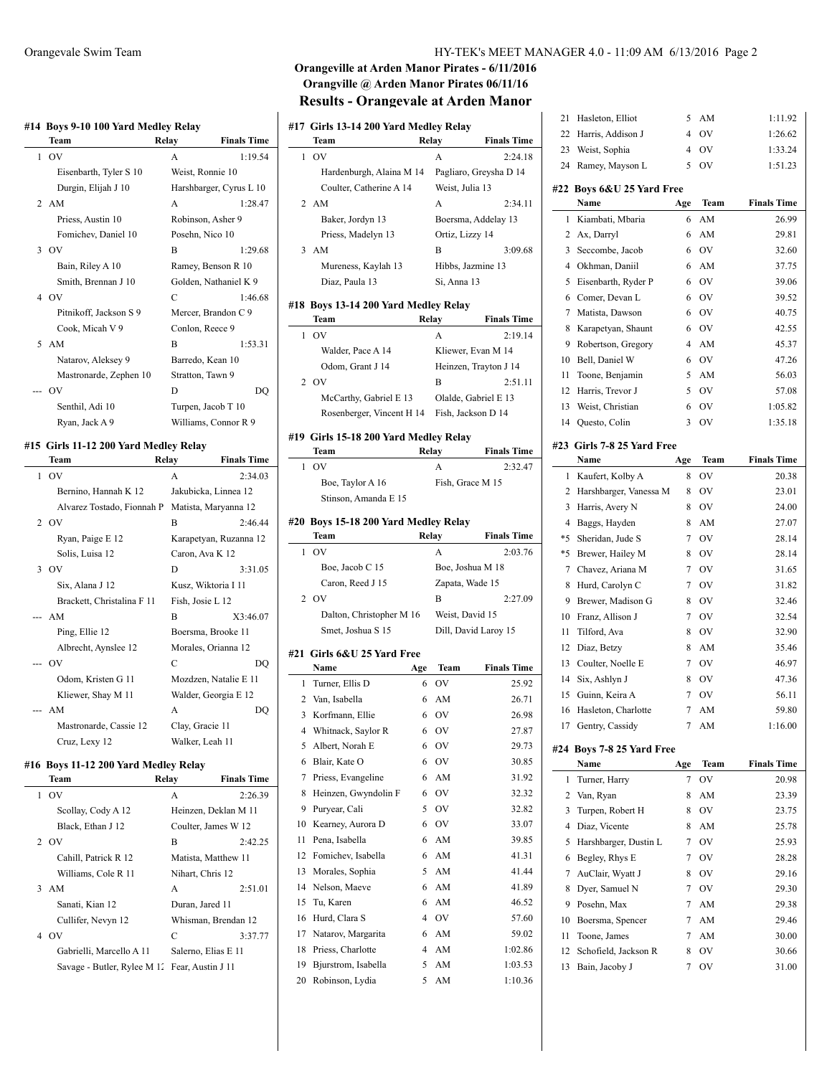#### **#14 Boys 9-10 100 Yard Medley Relay**

|              | $20,00,10,100$ and $\alpha$ increases.<br>Team | Relay              | <b>Finals Time</b>      |
|--------------|------------------------------------------------|--------------------|-------------------------|
| $\mathbf{1}$ | OV                                             | A                  | 1:19.54                 |
|              | Eisenbarth, Tyler S 10                         | Weist, Ronnie 10   |                         |
|              | Durgin, Elijah J 10                            |                    | Harshbarger, Cyrus L 10 |
|              | 2 AM                                           | A                  | 1:28.47                 |
|              | Priess, Austin 10                              | Robinson, Asher 9  |                         |
|              | Fomichev, Daniel 10                            | Posehn, Nico 10    |                         |
|              | 3.0V                                           | B                  | 1:29.68                 |
|              | Bain, Riley A 10                               |                    | Ramey, Benson R 10      |
|              | Smith, Brennan J 10                            |                    | Golden, Nathaniel K 9   |
|              | 4 OV                                           | C                  | 1:46.68                 |
|              | Pitnikoff, Jackson S 9                         |                    | Mercer, Brandon C 9     |
|              | Cook, Micah V 9                                | Conlon, Reece 9    |                         |
|              | 5 AM                                           | В                  | 1:53.31                 |
|              | Natarov, Aleksey 9                             | Barredo, Kean 10   |                         |
|              | Mastronarde, Zephen 10                         | Stratton, Tawn 9   |                         |
|              | OV                                             | D                  | DO                      |
|              | Senthil, Adi 10                                | Turpen, Jacob T 10 |                         |
|              | Ryan, Jack A 9                                 |                    | Williams, Connor R 9    |

#### **#15 Girls 11-12 200 Yard Medley Relay**

 $\overline{a}$ 

|   | Team                       | Relay         | <b>Finals Time</b>     |
|---|----------------------------|---------------|------------------------|
| 1 | - OV                       | A             | 2:34.03                |
|   | Bernino, Hannah K 12       |               | Jakubicka, Linnea 12   |
|   | Alvarez Tostado, Fionnah P |               | Matista, Maryanna 12   |
|   | 2 OV                       | B             | 2:46.44                |
|   | Ryan, Paige E 12           |               | Karapetyan, Ruzanna 12 |
|   | Solis, Luisa 12            |               | Caron, Ava K 12        |
| 3 | OV                         | D             | 3:31.05                |
|   | Six, Alana J 12            |               | Kusz, Wiktoria I 11    |
|   | Brackett, Christalina F 11 |               | Fish, Josie L 12       |
|   | -- AM                      | B             | X3:46.07               |
|   | Ping, Ellie 12             |               | Boersma, Brooke 11     |
|   | Albrecht, Aynslee 12       |               | Morales, Orianna 12    |
|   | - OV                       | $\mathcal{C}$ | DO                     |
|   | Odom, Kristen G 11         |               | Mozdzen, Natalie E 11  |
|   | Kliewer, Shay M 11         |               | Walder, Georgia E 12   |
|   | AM                         | A             | DO                     |
|   | Mastronarde, Cassie 12     |               | Clay, Gracie 11        |
|   | Cruz, Lexy 12              |               | Walker, Leah 11        |

#### **#16 Boys 11-12 200 Yard Medley Relay**

|              | <b>Team</b>                                   | Relay | <b>Finals Time</b>   |
|--------------|-----------------------------------------------|-------|----------------------|
| $\mathbf{1}$ | OV                                            | A     | 2:26.39              |
|              | Scollay, Cody A 12                            |       | Heinzen, Deklan M 11 |
|              | Black, Ethan J 12                             |       | Coulter, James W 12  |
|              | 2 OV                                          | B     | 2:42.25              |
|              | Cahill, Patrick R 12                          |       | Matista, Matthew 11  |
|              | Williams, Cole R 11                           |       | Nihart, Chris 12     |
|              | 3 AM                                          | A     | 2:51.01              |
|              | Sanati, Kian 12                               |       | Duran, Jared 11      |
|              | Cullifer, Nevyn 12                            |       | Whisman, Brendan 12  |
|              | 4 OV                                          | C     | 3:37.77              |
|              | Gabrielli, Marcello A 11                      |       | Salerno, Elias E 11  |
|              | Savage - Butler, Rylee M 1. Fear, Austin J 11 |       |                      |

## Orangevale Swim Team HY-TEK's MEET MANAGER 4.0 - 11:09 AM 6/13/2016 Page 2

## **Orangeville at Arden Manor Pirates - 6/11/2016 Orangville @ Arden Manor Pirates 06/11/16 Results - Orangevale at Arden Manor**

|    | #17  Girls 13-14 200 Yard Medley Relay        |       |                   |                        |
|----|-----------------------------------------------|-------|-------------------|------------------------|
|    | Team                                          | Relay |                   | <b>Finals Time</b>     |
| 1  | O <sub>V</sub>                                |       | A                 | 2:24.18                |
|    | Hardenburgh, Alaina M 14                      |       |                   | Pagliaro, Greysha D 14 |
|    | Coulter, Catherine A 14                       |       | Weist. Julia 13   |                        |
| 2  | AM                                            |       | A                 | 2:34.11                |
|    | Baker, Jordyn 13                              |       |                   | Boersma, Addelay 13    |
|    | Priess, Madelyn 13                            |       | Ortiz, Lizzy 14   |                        |
| 3  | AM                                            |       | В                 | 3:09.68                |
|    | Mureness, Kaylah 13                           |       | Hibbs, Jazmine 13 |                        |
|    | Diaz, Paula 13                                |       | Si, Anna 13       |                        |
|    | #18 Boys 13-14 200 Yard Medley Relay          |       |                   |                        |
|    | Team                                          | Relay |                   | <b>Finals Time</b>     |
| 1  | OV                                            |       | A                 | 2:19.14                |
|    | Walder, Pace A 14                             |       |                   | Kliewer, Evan M 14     |
|    | Odom, Grant J 14                              |       |                   | Heinzen, Trayton J 14  |
| 2  | OV                                            |       | В                 | 2:51.11                |
|    | McCarthy, Gabriel E 13                        |       |                   | Olalde, Gabriel E 13   |
|    | Rosenberger, Vincent H 14 Fish, Jackson D 14  |       |                   |                        |
|    |                                               |       |                   |                        |
|    | #19 Girls 15-18 200 Yard Medley Relay<br>Team | Relay |                   | <b>Finals Time</b>     |
| 1  | OV                                            |       | A                 | 2:32.47                |
|    | Boe, Taylor A 16                              |       | Fish, Grace M 15  |                        |
|    | Stinson, Amanda E 15                          |       |                   |                        |
|    |                                               |       |                   |                        |
|    | #20 Boys 15-18 200 Yard Medley Relay          |       |                   |                        |
|    | Team                                          | Relay |                   | <b>Finals Time</b>     |
| 1  | OV                                            |       | A                 | 2:03.76                |
|    | Boe, Jacob C 15                               |       | Boe, Joshua M 18  |                        |
|    | Caron, Reed J 15                              |       | Zapata, Wade 15   |                        |
|    | 2 OV                                          |       | В                 | 2:27.09                |
|    | Dalton, Christopher M 16                      |       | Weist, David 15   |                        |
|    | Smet, Joshua S 15                             |       |                   | Dill, David Laroy 15   |
|    | #21 Girls 6&U 25 Yard Free                    |       |                   |                        |
|    | Name                                          | Age   | Team              | <b>Finals Time</b>     |
| 1  | Turner, Ellis D                               | 6     | OV                | 25.92                  |
| 2  | Van, Isabella                                 | 6     | AM                | 26.71                  |
| 3  | Korfmann, Ellie                               | 6     | OV                | 26.98                  |
| 4  | Whitnack, Saylor R                            | 6     | OV                | 27.87                  |
| 5  | Albert, Norah E                               | 6     | OV                | 29.73                  |
| 6  | Blair, Kate O                                 | 6     | OV                | 30.85                  |
| 7  | Priess, Evangeline                            | 6     | AM                | 31.92                  |
| 8  | Heinzen, Gwyndolin F                          | 6     | OV                | 32.32                  |
| 9  | Puryear, Cali                                 | 5     | OV                | 32.82                  |
| 10 | Kearney, Aurora D                             | 6     | OV                | 33.07                  |
| 11 | Pena, Isabella                                | 6     | AM                | 39.85                  |
| 12 | Fomichev, Isabella                            | 6     | AM                | 41.31                  |
| 13 | Morales, Sophia                               | 5     | AM                | 41.44                  |
| 14 | Nelson, Maeve                                 | 6     | AM                | 41.89                  |
| 15 | Tu, Karen                                     | 6     | AM                | 46.52                  |
| 16 | Hurd, Clara S                                 | 4     | OV                | 57.60                  |
| 17 | Natarov, Margarita                            | 6     | AM                | 59.02                  |
| 18 | Priess, Charlotte                             | 4     | AM                | 1:02.86                |
| 19 | Bjurstrom, Isabella                           | 5     | AM                | 1:03.53                |
| 20 | Robinson, Lydia                               | 5     | AM                | 1:10.36                |

| 21 | Hasleton, Elliot                         | 5   | AM   | 1:11.92            |
|----|------------------------------------------|-----|------|--------------------|
| 22 | Harris, Addison J                        | 4   | OV   | 1:26.62            |
| 23 | Weist, Sophia                            | 4   | OV   | 1:33.24            |
| 24 | Ramey, Mayson L                          | 5   | OV   | 1:51.23            |
|    | #22 Boys 6&U 25 Yard Free                |     |      |                    |
|    | Name                                     | Age | Team | <b>Finals Time</b> |
| 1  | Kiambati, Mbaria                         | 6   | AM   | 26.99              |
| 2  | Ax, Darryl                               | 6   | AM   | 29.81              |
| 3  | Seccombe, Jacob                          | 6   | OV   | 32.60              |
| 4  | Okhman, Daniil                           | 6   | AM   | 37.75              |
| 5  | Eisenbarth, Ryder P                      | 6   | OV   | 39.06              |
| 6  | Comer, Devan L                           | 6   | OV   | 39.52              |
| 7  | Matista, Dawson                          | 6   | OV   | 40.75              |
| 8  |                                          | 6   | OV   | 42.55              |
| 9  | Karapetyan, Shaunt<br>Robertson, Gregory | 4   | AM   | 45.37              |
| 10 | Bell, Daniel W                           | 6   | OV   | 47.26              |
| 11 |                                          | 5   | AM   |                    |
|    | Toone, Benjamin                          |     |      | 56.03              |
| 12 | Harris, Trevor J                         | 5   | OV   | 57.08              |
| 13 | Weist, Christian                         | 6   | OV   | 1:05.82            |
| 14 | Questo, Colin                            | 3   | OV   | 1:35.18            |
|    | #23 Girls 7-8 25 Yard Free               |     |      |                    |
|    | Name                                     | Age | Team | <b>Finals Time</b> |
| 1  | Kaufert, Kolby A                         | 8   | OV   | 20.38              |
| 2  | Harshbarger, Vanessa M                   | 8   | OV   | 23.01              |
| 3  | Harris, Avery N                          | 8   | OV   | 24.00              |
| 4  | Baggs, Hayden                            | 8   | AM   | 27.07              |
| *5 | Sheridan, Jude S                         | 7   | OV   | 28.14              |
| *5 | Brewer, Hailey M                         | 8   | OV   | 28.14              |
| 7  | Chavez, Ariana M                         | 7   | OV   | 31.65              |
| 8  | Hurd, Carolyn C                          | 7   | OV   | 31.82              |
| 9  | Brewer, Madison G                        | 8   | OV   | 32.46              |
| 10 | Franz, Allison J                         | 7   | OV   | 32.54              |
| 11 | Tilford, Ava                             | 8   | OV   | 32.90              |
| 12 | Diaz, Betzy                              | 8   | AM   | 35.46              |
| 13 | Coulter, Noelle E                        | 7   | OV   | 46.97              |
| 14 | Six, Ashlyn J                            | 8   | OV   | 47.36              |
| 15 | Guinn, Keira A                           | 7   | OV   | 56.11              |
| 16 | Hasleton, Charlotte                      | 7   | AM   | 59.80              |
|    | 17 Gentry, Cassidy                       | 7   | AM   | 1:16.00            |
|    | #24 Boys 7-8 25 Yard Free                |     |      |                    |
|    | Name                                     | Age | Team | <b>Finals Time</b> |
| 1  | Turner, Harry                            | 7   | OV   | 20.98              |
| 2  | Van, Ryan                                | 8   | AM   | 23.39              |
| 3  | Turpen, Robert H                         | 8   | OV   | 23.75              |
| 4  | Diaz, Vicente                            | 8   | AM   | 25.78              |
| 5  | Harshbarger, Dustin L                    | 7   | OV   | 25.93              |
| 6  | Begley, Rhys E                           | 7   | OV   | 28.28              |
| 7  | AuClair, Wyatt J                         | 8   | OV   | 29.16              |
| 8  | Dyer, Samuel N                           | 7   | OV   | 29.30              |
| 9  | Posehn, Max                              | 7   | AM   | 29.38              |
| 10 | Boersma, Spencer                         | 7   | AM   | 29.46              |
| 11 | Toone, James                             | 7   | AM   | 30.00              |
| 12 | Schofield, Jackson R                     | 8   | OV   | 30.66              |
|    | Bain, Jacoby J                           | 7   | OV   | 31.00              |
| 13 |                                          |     |      |                    |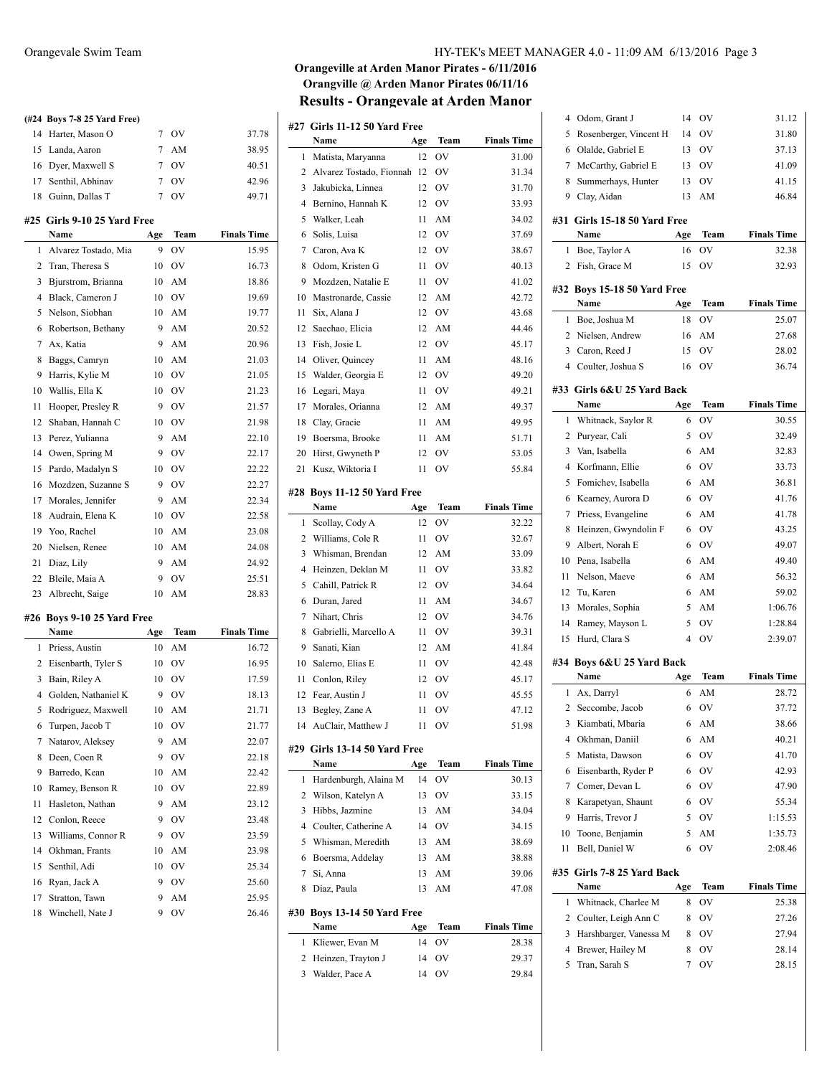|    | (#24 Boys 7-8 25 Yard Free) |                |             |                    |
|----|-----------------------------|----------------|-------------|--------------------|
|    | 14 Harter, Mason O          | $\mathcal{I}$  | OV          | 37.78              |
|    | 15 Landa, Aaron             | $\overline{7}$ | AM          | 38.95              |
|    | 16 Dyer, Maxwell S          | $7^{\circ}$    | OV          | 40.51              |
|    | 17 Senthil, Abhinav         | $\mathcal{I}$  | <b>OV</b>   | 42.96              |
|    | 18 Guinn, Dallas T          | $\overline{7}$ | OV          | 49.71              |
|    | #25 Girls 9-10 25 Yard Free |                |             |                    |
|    | Name                        | Age            | Team        | <b>Finals Time</b> |
| 1  | Alvarez Tostado, Mia        | 9              | OV          | 15.95              |
| 2  | Tran, Theresa S             | 10             | OV          | 16.73              |
| 3  | Bjurstrom, Brianna          | 10             | AM          | 18.86              |
| 4  | Black, Cameron J            | 10             | OV          | 19.69              |
| 5  | Nelson, Siobhan             | 10             | AM          | 19.77              |
| 6  | Robertson, Bethany          | 9              | AM          | 20.52              |
| 7  | Ax, Katia                   | 9              | AM          | 20.96              |
| 8  | Baggs, Camryn               | 10             | AM          | 21.03              |
| 9  | Harris, Kylie M             | 10             | OV          | 21.05              |
| 10 | Wallis, Ella K              | 10             | OV          | 21.23              |
| 11 | Hooper, Presley R           | 9              | OV          | 21.57              |
| 12 | Shaban, Hannah C            | 10             | OV          | 21.98              |
| 13 | Perez, Yulianna             | 9              | AM          | 22.10              |
| 14 | Owen, Spring M              | 9              | OV          | 22.17              |
| 15 | Pardo, Madalyn S            | 10             | OV          | 22.22              |
| 16 | Mozdzen, Suzanne S          | 9              | OV          | 22.27              |
| 17 | Morales, Jennifer           | 9              | AM          | 22.34              |
| 18 | Audrain, Elena K            | 10             | OV          | 22.58              |
|    | 19 Yoo, Rachel              | 10             | AM          | 23.08              |
| 20 | Nielsen, Renee              | 10             | AM          | 24.08              |
| 21 | Diaz, Lily                  | 9              | AM          | 24.92              |
| 22 | Bleile, Maia A              | 9              | OV          | 25.51              |
|    | 23 Albrecht, Saige          | 10             | AM          | 28.83              |
|    | #26 Boys 9-10 25 Yard Free  |                |             |                    |
|    | Name                        | Age            | <b>Team</b> | <b>Finals Time</b> |
| 1  | Priess, Austin              | 10             | AM          | 16.72              |
| 2  | Eisenbarth, Tyler S         | 10             | OV          | 16.95              |
|    | 3 Bain Riley A              |                | $10$ OV     | 17.59              |

|    | Name                | Age | <b>Team</b> | <b>Finals Time</b> |
|----|---------------------|-----|-------------|--------------------|
| 1  | Priess, Austin      | 10  | AM          | 16.72              |
| 2  | Eisenbarth, Tyler S | 10  | OV          | 16.95              |
| 3  | Bain, Riley A       | 10  | OV          | 17.59              |
| 4  | Golden, Nathaniel K | 9   | OV          | 18.13              |
| 5  | Rodriguez, Maxwell  | 10  | AM          | 21.71              |
| 6  | Turpen, Jacob T     | 10  | OV          | 21.77              |
| 7  | Natarov, Aleksey    | 9   | AM          | 22.07              |
| 8  | Deen, Coen R        | 9   | OV          | 22.18              |
| 9  | Barredo, Kean       | 10  | AM          | 22.42              |
| 10 | Ramey, Benson R     | 10  | OV          | 22.89              |
| 11 | Hasleton, Nathan    | 9   | AM          | 23.12              |
| 12 | Conlon, Reece       | 9   | OV          | 23.48              |
| 13 | Williams, Connor R  | 9   | OV          | 23.59              |
| 14 | Okhman, Frants      | 10  | AM          | 23.98              |
| 15 | Senthil, Adi        | 10  | OV          | 25.34              |
| 16 | Ryan, Jack A        | 9   | OV          | 25.60              |
|    | 17 Stratton, Tawn   | 9   | AM          | 25.95              |
|    | 18 Winchell, Nate J | 9   | ov          | 26.46              |

## Orangevale Swim Team HY-TEK's MEET MANAGER 4.0 - 11:09 AM 6/13/2016 Page 3

## **Orangeville at Arden Manor Pirates - 6/11/2016 Orangville @ Arden Manor Pirates 06/11/16 Results - Orangevale at Arden Manor**

|        | #27 Girls 11-12 50 Yard Free           |          |          |                    |
|--------|----------------------------------------|----------|----------|--------------------|
|        | Name                                   | Age      | Team     | <b>Finals Time</b> |
| 1      | Matista, Maryanna                      | 12       | OV       | 31.00              |
| 2      | Alvarez Tostado, Fionnah               | 12       | OV       | 31.34              |
| 3      | Jakubicka, Linnea                      | 12       | OV       | 31.70              |
| 4      | Bernino, Hannah K                      | 12       | OV       | 33.93              |
| 5      | Walker, Leah                           | 11       | AM       | 34.02              |
| 6      | Solis, Luisa                           | 12       | OV       | 37.69              |
| 7      | Caron, Ava K                           | 12       | OV       | 38.67              |
| 8      | Odom, Kristen G                        | 11       | OV       | 40.13              |
| 9      | Mozdzen, Natalie E                     | 11       | OV       | 41.02              |
| 10     | Mastronarde, Cassie                    | 12       | AM       | 42.72              |
| 11     | Six, Alana J                           | 12       | OV       | 43.68              |
| 12     | Saechao, Elicia                        | 12       | AM       | 44.46              |
| 13     | Fish, Josie L                          | 12       | OV       | 45.17              |
| 14     | Oliver, Quincey                        | 11       | AM       | 48.16              |
| 15     | Walder, Georgia E                      | 12       | OV       | 49.20              |
| 16     | Legari, Maya                           | 11       | OV       | 49.21              |
| 17     | Morales, Orianna                       | 12       | AM       | 49.37              |
| 18     | Clay, Gracie                           | 11       | AM       | 49.95              |
| 19     | Boersma, Brooke                        | 11       | AM       | 51.71              |
| 20     | Hirst, Gwyneth P                       | 12       | OV       | 53.05              |
| 21     | Kusz, Wiktoria I                       | 11       | OV       | 55.84              |
|        |                                        |          |          |                    |
| #28    | Boys 11-12 50 Yard Free<br>Name        |          | Team     | <b>Finals Time</b> |
|        |                                        | Age      |          |                    |
| 1<br>2 | Scollay, Cody A<br>Williams, Cole R    | 12<br>11 | OV<br>OV | 32.22<br>32.67     |
| 3      | Whisman, Brendan                       | 12       | AM       | 33.09              |
| 4      | Heinzen, Deklan M                      | 11       | OV       | 33.82              |
| 5      | Cahill, Patrick R                      | 12       | OV       | 34.64              |
| 6      | Duran, Jared                           | 11       | AM       | 34.67              |
| 7      | Nihart, Chris                          | 12       | OV       | 34.76              |
| 8      | Gabrielli, Marcello A                  | 11       | OV       | 39.31              |
| 9      | Sanati, Kian                           | 12       | AM       | 41.84              |
| 10     | Salerno, Elias E                       |          | OV       |                    |
| 11     | Conlon, Riley                          | 11<br>12 |          | 42.48              |
|        |                                        |          | OV       | 45.17              |
| 12     | Fear, Austin J                         | 11       | OV       | 45.55              |
| 13     | Begley, Zane A                         | 11       | OV       | 47.12              |
|        | 14 AuClair, Matthew J                  | 11       | OV       | 51.98              |
|        | #29 Girls 13-14 50 Yard Free           |          |          |                    |
|        | Name                                   | Age      | Team     | <b>Finals Time</b> |
| 1      | Hardenburgh, Alaina M                  | 14       | OV       | 30.13              |
| 2      | Wilson, Katelyn A                      | 13       | OV       | 33.15              |
| 3      | Hibbs, Jazmine                         | 13       | AM       | 34.04              |
| 4      | Coulter, Catherine A                   | 14       | OV       | 34.15              |
| 5      | Whisman, Meredith                      | 13       | AM       | 38.69              |
| 6      | Boersma, Addelay                       | 13       | AM       | 38.88              |
| 7      | Si, Anna                               | 13       | AM       | 39.06              |
| 8      | Diaz, Paula                            | 13       | AM       | 47.08              |
| #30    |                                        |          |          |                    |
|        | <b>Boys 13-14 50 Yard Free</b><br>Name | Age      | Team     | <b>Finals Time</b> |
| 1      | Kliewer, Evan M                        | 14       | OV       | 28.38              |
| 2      | Heinzen, Trayton J                     | 14       | OV       | 29.37              |

Walder, Pace A 14 OV 29.84

| 4              | Odom, Grant J                | 14             | OV             | 31.12              |
|----------------|------------------------------|----------------|----------------|--------------------|
| 5              | Rosenberger, Vincent H       | 14             | OV             | 31.80              |
| 6              | Olalde, Gabriel E            | 13             | <b>OV</b>      | 37.13              |
| 7              | McCarthy, Gabriel E          | 13             | OV             | 41.09              |
| 8              | Summerhays, Hunter           | 13             | OV             | 41.15              |
| 9              | Clay, Aidan                  | 13             | AM             | 46.84              |
|                | #31 Girls 15-18 50 Yard Free |                |                |                    |
|                | Name                         | Age            | Team           | <b>Finals Time</b> |
| 1              | Boe, Taylor A                | 16             | OV             | 32.38              |
| 2              | Fish, Grace M                | 15             | OV             | 32.93              |
|                |                              |                |                |                    |
|                | #32 Boys 15-18 50 Yard Free  |                |                |                    |
|                | Name                         | Age            | Team           | <b>Finals Time</b> |
| 1              | Boe, Joshua M                | 18             | OV             | 25.07              |
| $\overline{2}$ | Nielsen, Andrew              | 16             | AM             | 27.68              |
|                | 3 Caron, Reed J              | 15             | OV             | 28.02              |
| 4              | Coulter, Joshua S            | 16             | OV             | 36.74              |
|                | #33 Girls 6&U 25 Yard Back   |                |                |                    |
|                | Name                         | Age            | Team           | <b>Finals Time</b> |
| 1              | Whitnack, Saylor R           | 6              | OV             | 30.55              |
| 2              | Puryear, Cali                | 5              | <b>OV</b>      | 32.49              |
| 3              | Van, Isabella                | 6              | AM             | 32.83              |
| 4              | Korfmann, Ellie              | 6              | <b>OV</b>      | 33.73              |
|                |                              |                |                |                    |
| 5              | Fomichev, Isabella           | 6              | AM             | 36.81              |
| 6              | Kearney, Aurora D            | 6              | OV             | 41.76              |
| 7              | Priess, Evangeline           | 6              | AM             | 41.78              |
| 8              | Heinzen, Gwyndolin F         | 6              | <b>OV</b>      | 43.25              |
| 9              | Albert, Norah E              | 6              | <b>OV</b>      | 49.07              |
| 10             | Pena, Isabella               | 6              | AM             | 49.40              |
| 11             | Nelson, Maeve                | 6              | AM             | 56.32              |
| 12             | Tu, Karen                    | 6              | AM             | 59.02              |
| 13             | Morales, Sophia              | 5              | AM             | 1:06.76            |
| 14             | Ramey, Mayson L              | 5              | OV             | 1:28.84            |
| 15             | Hurd, Clara S                | $\overline{4}$ | OV             | 2:39.07            |
|                | #34 Boys 6&U 25 Yard Back    |                |                |                    |
|                | Name                         | Age            | Team           | <b>Finals Time</b> |
| 1              | Ax, Darryl                   | 6              | AM             | 28.72              |
| 2              | Seccombe, Jacob              | 6              | O <sub>V</sub> | 37.72              |
| 3              | Kiambati, Mbaria             | 6              | AM             | 38.66              |
| 4              | Okhman, Daniil               | 6              | AM             | 40.21              |
| 5              | Matista, Dawson              | 6              | OV             | 41.70              |
| 6              | Eisenbarth, Ryder P          | 6              | OV             | 42.93              |
| 7              | Comer, Devan L               | 6              | OV             | 47.90              |
| 8              | Karapetyan, Shaunt           | 6              |                |                    |
|                | Harris, Trevor J             |                | OV             | 55.34              |
| 9              |                              | 5              | OV             | 1:15.53            |
| 10             | Toone, Benjamin              | 5              | AM             | 1:35.73            |
| 11             | Bell, Daniel W               | 6              | OV             | 2:08.46            |
|                | #35 Girls 7-8 25 Yard Back   |                |                |                    |
|                | Name                         | Age            | Team           | <b>Finals Time</b> |
| 1              | Whitnack, Charlee M          | 8              | OV             | 25.38              |
| 2              | Coulter, Leigh Ann C         | 8              | OV             | 27.26              |
| 3              | Harshbarger, Vanessa M       | 8              | OV             | 27.94              |
| 4              | Brewer, Hailey M             | 8              | ov             | 28.14              |
| 5              | Tran, Sarah S                | 7              | ov             | 28.15              |
|                |                              |                |                |                    |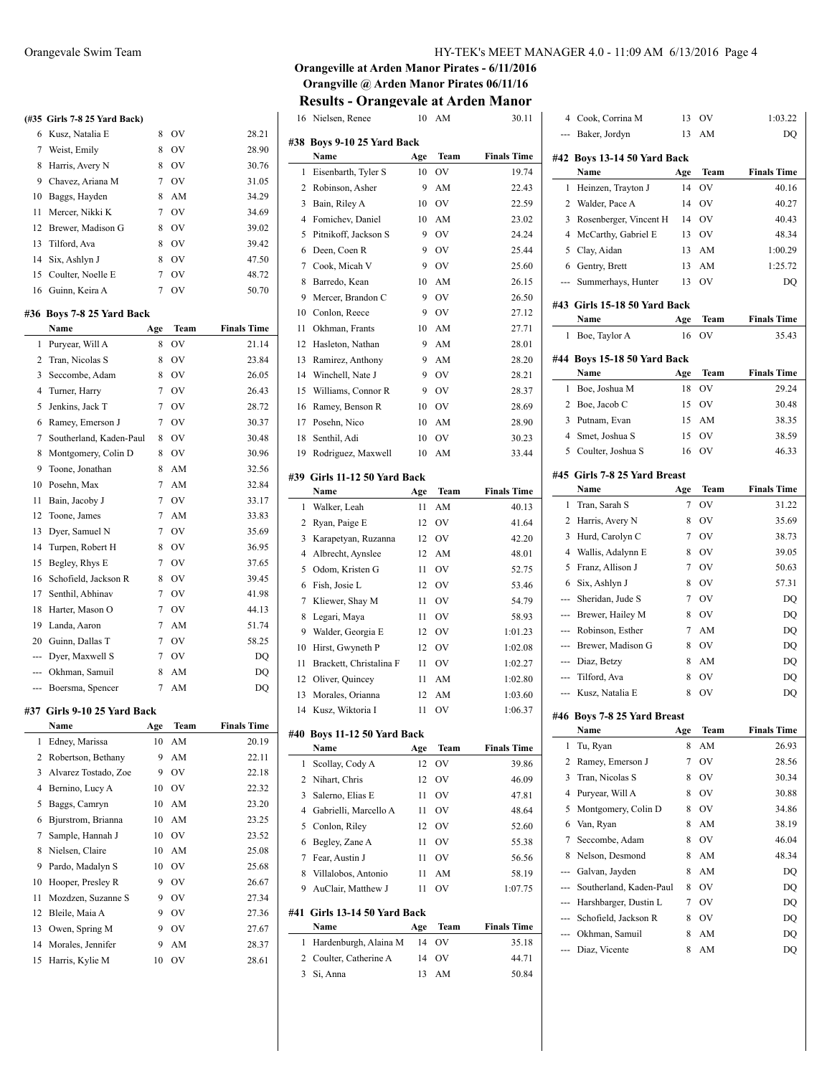# **(#35 Girls 7-8 25 Yard Back)** 6 Kusz, Natalia E 8 OV 28.21 7 Weist, Emily 8 OV 28.90 8 Harris, Avery N 8 OV 30.76 9 Chavez, Ariana M 7 OV 31.05 10 Baggs, Hayden 8 AM 34.29 11 Mercer, Nikki K 7 OV 34.69 12 Brewer, Madison G 8 OV 39.02 13 Tilford, Ava 8 OV 39.42 14 Six, Ashlyn J 8 OV 47.50 15 Coulter, Noelle E 7 OV 48.72 16 Guinn, Keira A 7 OV 50.70 **#36 Boys 7-8 25 Yard Back Name Age Team Finals Time** 1 Puryear, Will A 8 OV 21.14 2 Tran, Nicolas S 8 OV 23.84 3 Seccombe, Adam 8 OV 26.05 4 Turner, Harry 7 OV 26.43 5 Jenkins, Jack T 7 OV 28.72 6 Ramey, Emerson J 7 OV 30.37 7 Southerland, Kaden-Paul 8 OV 30.48 8 Montgomery, Colin D 8 OV 30.96 9 Toone, Jonathan 8 AM 32.56 10 Posehn, Max 7 AM 32.84 11 Bain, Jacoby J 7 OV 33.17 12 Toone, James 7 AM 33.83 13 Dyer, Samuel N 7 OV 35.69 14 Turpen, Robert H 8 OV 36.95 15 Begley, Rhys E 7 OV 37.65 16 Schofield, Jackson R 8 OV 39.45 17 Senthil, Abhinav 7 OV 41.98 18 Harter, Mason O 7 OV 44.13 19 Landa, Aaron 7 AM 51.74 20 Guinn, Dallas T 7 OV 58.25 --- Dyer, Maxwell S 7 OV DQ --- Okhman, Samuil 8 AM DQ --- Boersma, Spencer 7 AM DQ **#37 Girls 9-10 25 Yard Back Name Age Team Finals Time**

| Edney, Marissa            | 10 | AM | 20.19 |
|---------------------------|----|----|-------|
| Robertson, Bethany<br>2   | 9  | AM | 22.11 |
| Alvarez Tostado, Zoe<br>3 | 9  | OV | 22.18 |
| Bernino, Lucy A           | 10 | OV | 22.32 |
| Baggs, Camryn             | 10 | AM | 23.20 |
| Bjurstrom, Brianna        | 10 | AM | 23.25 |
| 7 Sample, Hannah J        | 10 | OV | 23.52 |
| Nielsen, Claire           | 10 | AM | 25.08 |
| Pardo, Madalyn S          | 10 | OV | 25.68 |
| 10<br>Hooper, Presley R   | 9  | OV | 26.67 |
| Mozdzen, Suzanne S        | 9  | OV | 27.34 |
| 12 Bleile, Maia A         | 9  | OV | 27.36 |
| 13 Owen, Spring M         | 9  | OV | 27.67 |
| 14 Morales, Jennifer      | 9  | AM | 28.37 |
| 15 Harris, Kylie M        | 10 | OV | 28.61 |
|                           |    |    |       |

## Orangevale Swim Team HY-TEK's MEET MANAGER 4.0 - 11:09 AM 6/13/2016 Page 4

## **Orangeville at Arden Manor Pirates - 6/11/2016 Orangville @ Arden Manor Pirates 06/11/16 Results - Orangevale at Arden Manor**

16 Nielsen, Renee 10 AM 30.11

|              | <b>THUBUH, RUHUC</b>               |           | 1111 | <b><i><u>JU.II</u></i></b> |
|--------------|------------------------------------|-----------|------|----------------------------|
|              | #38 Boys 9-10 25 Yard Back<br>Name | Age       | Team | <b>Finals Time</b>         |
| 1            | Eisenbarth, Tyler S                | 10        | OV   | 19.74                      |
| 2            | Robinson, Asher                    | 9         | AM   | 22.43                      |
| 3            | Bain, Riley A                      | 10        | OV   | 22.59                      |
| 4            | Fomichev, Daniel                   | 10        | AM   | 23.02                      |
| 5            | Pitnikoff, Jackson S               | 9         | OV   | 24.24                      |
| 6            | Deen, Coen R                       | 9         | OV   | 25.44                      |
| $\tau$       | Cook, Micah V                      | 9         | OV   | 25.60                      |
| 8            | Barredo, Kean                      | 10        | AM   | 26.15                      |
| 9            | Mercer, Brandon C                  | 9         | OV   | 26.50                      |
| 10           | Conlon, Reece                      | 9         | OV   | 27.12                      |
| 11           | Okhman, Frants                     | 10        | AM   | 27.71                      |
| 12           | Hasleton, Nathan                   | 9         | AM   |                            |
| 13           |                                    |           | AM   | 28.01                      |
| 14           | Ramirez, Anthony                   | 9<br>9    | OV   | 28.20                      |
|              | Winchell, Nate J                   |           | OV   | 28.21                      |
| 15           | Williams, Connor R                 | 9         |      | 28.37                      |
| 16           | Ramey, Benson R                    | 10        | OV   | 28.69                      |
| 17           | Posehn, Nico                       | 10        | AM   | 28.90                      |
| 18           | Senthil, Adi                       | 10        | OV   | 30.23                      |
| 19           | Rodriguez, Maxwell                 | 10        | AM   | 33.44                      |
|              | #39 Girls 11-12 50 Yard Back       |           |      |                            |
|              | Name                               | Age       | Team | <b>Finals Time</b>         |
| 1            | Walker, Leah                       | 11        | AM   | 40.13                      |
| 2            | Ryan, Paige E                      | 12        | OV   | 41.64                      |
| 3            | Karapetyan, Ruzanna                | 12        | OV   | 42.20                      |
| 4            | Albrecht, Aynslee                  | 12        | AM   | 48.01                      |
| 5            | Odom, Kristen G                    | 11        | OV   | 52.75                      |
| 6            | Fish, Josie L                      | 12        | OV   | 53.46                      |
| 7            | Kliewer, Shay M                    | 11        | OV   | 54.79                      |
| 8            | Legari, Maya                       | 11        | OV   | 58.93                      |
| 9            | Walder, Georgia E                  | 12        | OV   | 1:01.23                    |
| 10           | Hirst, Gwyneth P                   | 12        | OV   | 1:02.08                    |
| 11           | Brackett, Christalina F            | 11        | OV   | 1:02.27                    |
| 12           | Oliver, Quincey                    | 11        | AM   | 1:02.80                    |
| 13           | Morales, Orianna                   | 12        | AM   | 1:03.60                    |
| 14           | Kusz, Wiktoria I                   | 11        | OV   | 1:06.37                    |
| #40          | Boys 11-12 50 Yard Back            |           |      |                            |
|              | Name                               | Age       | Team | <b>Finals Time</b>         |
| 1            | Scollay, Cody A                    | 12        | OV   | 39.86                      |
| 2            | Nihart, Chris                      | 12        | OV   | 46.09                      |
| 3            | Salerno, Elias E                   | 11        | OV   | 47.81                      |
| 4            | Gabrielli, Marcello A              | 11        | OV   | 48.64                      |
| 5            | Conlon, Riley                      | 12        | OV   | 52.60                      |
| 6            | Begley, Zane A                     | 11        | OV   | 55.38                      |
| 7            | Fear, Austin J                     | 11        | OV   | 56.56                      |
| 8            | Villalobos, Antonio                | 11        | AM   | 58.19                      |
| 9            | AuClair, Matthew J                 | 11        | OV   | 1:07.75                    |
|              |                                    |           |      |                            |
| #41          | Girls 13-14 50 Yard Back<br>Name   |           | Team | <b>Finals Time</b>         |
| $\mathbf{1}$ | Hardenburgh, Alaina M              | Age<br>14 | OV   | 35.18                      |
| 2            | Coulter, Catherine A               | 14        | OV   | 44.71                      |
| 3            | Si, Anna                           | 13        | AM   | 50.84                      |
|              |                                    |           |      |                            |

| 4        | Cook, Corrina M              | 13  | OV          | 1:03.22            |
|----------|------------------------------|-----|-------------|--------------------|
| ---      | Baker, Jordyn                | 13  | AM          | DQ                 |
|          | #42 Boys 13-14 50 Yard Back  |     |             |                    |
|          | Name                         | Age | Team        | <b>Finals Time</b> |
| 1        | Heinzen, Trayton J           | 14  | ov          | 40.16              |
| 2        | Walder, Pace A               | 14  | OV          | 40.27              |
| 3        | Rosenberger, Vincent H       | 14  | OV          | 40.43              |
| 4        | McCarthy, Gabriel E          | 13  | OV          | 48.34              |
| 5        | Clay, Aidan                  | 13  | AM          | 1:00.29            |
| 6        | Gentry, Brett                | 13  | AM          | 1:25.72            |
|          | Summerhays, Hunter           | 13  | OV          | DQ                 |
|          | #43 Girls 15-18 50 Yard Back |     |             |                    |
|          | Name                         | Age | Team        | <b>Finals Time</b> |
| 1        | Boe, Taylor A                | 16  | OV          | 35.43              |
|          | #44 Boys 15-18 50 Yard Back  |     |             |                    |
|          | Name                         | Age | <b>Team</b> | <b>Finals Time</b> |
| 1        | Boe, Joshua M                | 18  | OV          | 29.24              |
| 2        | Boe, Jacob C                 | 15  | <b>OV</b>   | 30.48              |
| 3        | Putnam, Evan                 | 15  | AM          | 38.35              |
| 4        | Smet, Joshua S               | 15  | OV          | 38.59              |
| 5        | Coulter, Joshua S            | 16  | OV          | 46.33              |
|          | #45 Girls 7-8 25 Yard Breast |     |             |                    |
|          | Name                         | Age | Team        | <b>Finals Time</b> |
| 1        | Tran, Sarah S                | 7   | OV          | 31.22              |
| 2        | Harris, Avery N              | 8   | OV          | 35.69              |
| 3        | Hurd, Carolyn C              | 7   | OV          | 38.73              |
| 4        | Wallis, Adalynn E            | 8   | <b>OV</b>   | 39.05              |
| 5        | Franz, Allison J             | 7   | <b>OV</b>   | 50.63              |
| 6        | Six, Ashlyn J                | 8   | <b>OV</b>   | 57.31              |
| ---      | Sheridan, Jude S             | 7   | <b>OV</b>   | DQ                 |
| ---      | Brewer, Hailey M             | 8   | <b>OV</b>   | DQ                 |
| ---      | Robinson, Esther             | 7   | AM          | DQ                 |
| $\cdots$ | Brewer, Madison G            | 8   | OV          | DQ                 |
| ---      | Diaz, Betzy                  | 8   | AM          | DQ                 |
| ---      | Tilford, Ava                 | 8   | OV          | DQ                 |
| ---      | Kusz, Natalia E              | 8   | ov          | DQ                 |
|          | #46 Boys 7-8 25 Yard Breast  |     |             |                    |
|          | Name                         | Age | Team        | <b>Finals Time</b> |
| 1        | Tu, Ryan                     | 8   | AM          | 26.93              |
| 2        | Ramey, Emerson J             | 7   | OV          | 28.56              |
| 3        | Tran, Nicolas S              | 8   | OV          | 30.34              |
| 4        | Puryear, Will A              | 8   | ov          | 30.88              |
| 5        | Montgomery, Colin D          | 8   | OV          | 34.86              |
| 6        | Van, Ryan                    | 8   | AM          | 38.19              |
| 7        | Seccombe, Adam               | 8   | OV          | 46.04              |
| 8        | Nelson, Desmond              | 8   | AM          | 48.34              |
| ---      | Galvan, Jayden               | 8   | AM          | DQ                 |
| ---      | Southerland, Kaden-Paul      | 8   | OV          | DQ                 |
| ---      | Harshbarger, Dustin L        | 7   | OV          | DQ                 |
|          | Schofield, Jackson R         | 8   | OV          | DQ                 |
|          | Okhman, Samuil               | 8   | AM          | DQ                 |
|          | Diaz, Vicente                | 8   | AM          | DQ                 |
|          |                              |     |             |                    |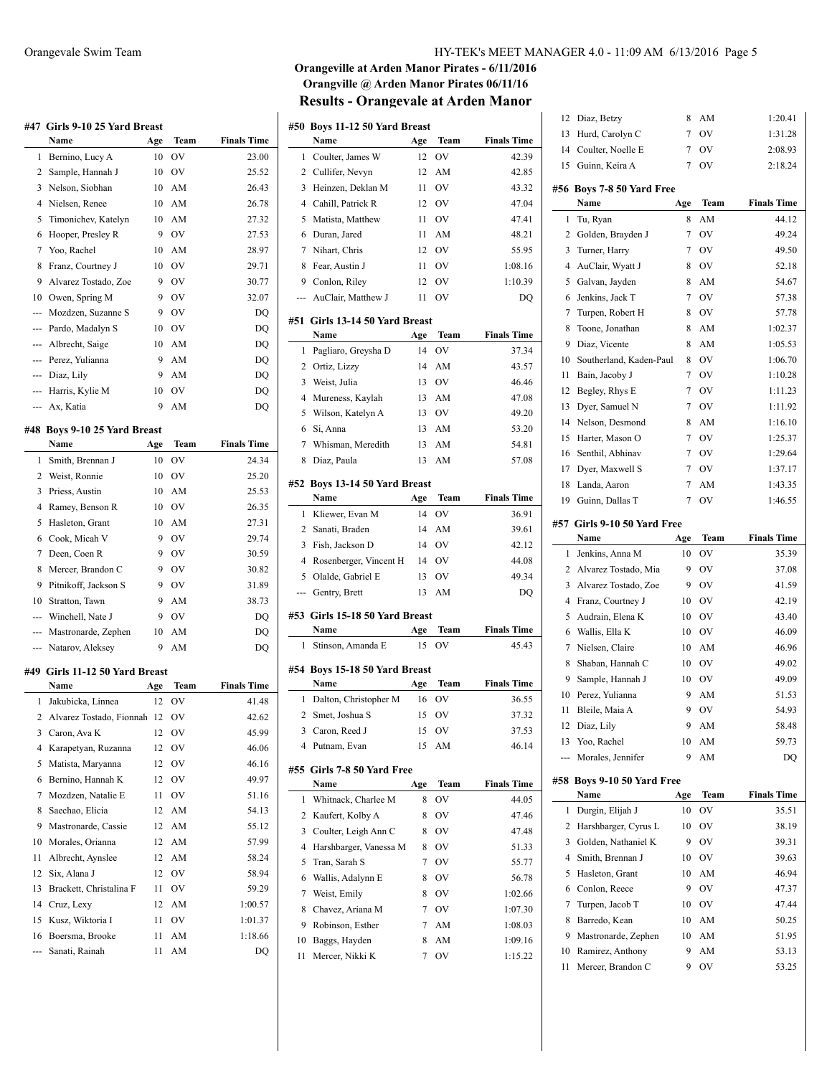|     | #47 Girls 9-10 25 Yard Breast  |     |           |                    |
|-----|--------------------------------|-----|-----------|--------------------|
|     | Name                           | Age | Team      | <b>Finals Time</b> |
| 1   | Bernino, Lucy A                | 10  | OV        | 23.00              |
| 2   | Sample, Hannah J               | 10  | OV        | 25.52              |
| 3   | Nelson, Siobhan                | 10  | AM        | 26.43              |
| 4   | Nielsen, Renee                 | 10  | AM        | 26.78              |
| 5   | Timonichev, Katelyn            | 10  | AM        | 27.32              |
| 6   | Hooper, Presley R              | 9   | OV        | 27.53              |
| 7   | Yoo, Rachel                    | 10  | AM        | 28.97              |
| 8   | Franz, Courtney J              | 10  | OV        | 29.71              |
| 9   | Alvarez Tostado, Zoe           | 9   | OV        | 30.77              |
| 10  | Owen, Spring M                 | 9   | OV        | 32.07              |
| --- | Mozdzen, Suzanne S             | 9   | OV        | DQ                 |
| --- | Pardo, Madalyn S               | 10  | OV        | DQ                 |
| --- | Albrecht, Saige                | 10  | AM        | DQ                 |
| --- | Perez, Yulianna                | 9   | AM        | DQ                 |
| --- | Diaz, Lily                     | 9   | AM        | DQ                 |
| --- | Harris, Kylie M                | 10  | OV        | DQ                 |
|     | Ax, Katia                      | 9   | AM        | DQ                 |
|     | #48 Boys 9-10 25 Yard Breast   |     |           |                    |
|     | Name                           | Age | Team      | <b>Finals Time</b> |
| 1   | Smith, Brennan J               | 10  | OV        | 24.34              |
| 2   | Weist, Ronnie                  | 10  | OV        | 25.20              |
| 3   | Priess, Austin                 | 10  | AM        | 25.53              |
| 4   | Ramey, Benson R                | 10  | OV        | 26.35              |
| 5   | Hasleton, Grant                | 10  | AM        | 27.31              |
| 6   | Cook, Micah V                  | 9   | OV        | 29.74              |
| 7   | Deen, Coen R                   | 9   | OV        | 30.59              |
| 8   | Mercer, Brandon C              | 9   | <b>OV</b> | 30.82              |
| 9   | Pitnikoff, Jackson S           | 9   | OV        | 31.89              |
| 10  | Stratton, Tawn                 | 9   | AM        | 38.73              |
| --- | Winchell, Nate J               | 9   | OV        | DQ                 |
| --- | Mastronarde, Zephen            | 10  | AM        | DQ                 |
| --- | Natarov, Aleksev               | 9   | AM        | DO                 |
|     |                                |     |           |                    |
|     | #49 Girls 11-12 50 Yard Breast |     |           |                    |
|     | Name                           | Age | Team      | <b>Finals Time</b> |
| 1   | Jakubicka, Linnea              | 12  | ov        | 41.48              |
| 2   | Alvarez Tostado, Fionnah       | 12  | ov        | 42.62              |
| 3   | Caron, Ava K                   | 12  | ov        | 45.99              |
| 4   | Karapetyan, Ruzanna            | 12  | OV        | 46.06              |
| 5   | Matista, Maryanna              | 12  | OV        | 46.16              |
| 6   | Bernino, Hannah K              | 12  | OV        | 49.97              |
| 7   | Mozdzen, Natalie E             | 11  | OV        | 51.16              |
| 8   | Saechao, Elicia                | 12  | AM        | 54.13              |
| 9   | Mastronarde, Cassie            | 12  | AM        | 55.12              |
| 10  | Morales, Orianna               | 12  | AM        | 57.99              |
| 11  | Albrecht, Aynslee              | 12  | AM        | 58.24              |
| 12  | Six, Alana J                   | 12  | OV        | 58.94              |
| 13  | Brackett, Christalina F        | 11  | OV        | 59.29              |
| 14  | Cruz, Lexy                     | 12  | AM        | 1:00.57            |
| 15  | Kusz, Wiktoria I               | 11  | OV        | 1:01.37            |
| 16  | Boersma, Brooke                | 11  | AM        | 1:18.66            |

--- Sanati, Rainah 11 AM DQ

| HY-TEK's MEET MANAGER 4.0 - 11:09 AM 6/13/2016 Page 5 |  |  |
|-------------------------------------------------------|--|--|
|-------------------------------------------------------|--|--|

# **Orangeville at Arden Manor Pirates - 6/11/2016 Orangville @ Arden Manor Pirates 06/11/16 Results - Orangevale at Arden Manor**

|                | #50 Boys 11-12 50 Yard Breast |     | Team           |                    |
|----------------|-------------------------------|-----|----------------|--------------------|
|                | Name                          | Age | OV             | <b>Finals Time</b> |
| 1              | Coulter, James W              | 12  |                | 42.39              |
| 2              | Cullifer, Nevyn               | 12  | AM             | 42.85              |
| 3              | Heinzen, Deklan M             | 11  | <b>OV</b>      | 43.32              |
| $\overline{4}$ | Cahill, Patrick R             | 12  | <b>OV</b>      | 47.04              |
| 5              | Matista, Matthew              | 11  | <b>OV</b>      | 47.41              |
| 6              | Duran, Jared                  | 11  | AM             | 48.21              |
| 7              | Nihart, Chris                 | 12  | OV             | 55.95              |
| 8              | Fear, Austin J                | 11  | OV             | 1:08.16            |
|                | 9 Conlon, Riley               | 12  | OV             | 1:10.39            |
| ---            | AuClair, Matthew J            | 11  | O <sub>V</sub> | DO                 |
| #51            | Girls 13-14 50 Yard Breast    |     |                |                    |
|                | Name                          | Age | Team           | <b>Finals Time</b> |
| 1              | Pagliaro, Greysha D           | 14  | OV             | 37.34              |
| 2              | Ortiz, Lizzy                  | 14  | AM             | 43.57              |
| 3              | Weist, Julia                  | 13  | OV             | 46.46              |
| $\overline{4}$ | Mureness, Kaylah              | 13  | AM             | 47.08              |
| 5              | Wilson, Katelyn A             | 13  | <b>OV</b>      | 49.20              |
| 6              | Si, Anna                      | 13  | AM             | 53.20              |
| 7              | Whisman, Meredith             | 13  | AM             | 54.81              |
| 8              | Diaz, Paula                   | 13  | AM             | 57.08              |
| #52            | Boys 13-14 50 Yard Breast     |     |                |                    |
|                | Name                          | Age | Team           | <b>Finals Time</b> |
| 1              | Kliewer, Evan M               | 14  | OV             | 36.91              |
| 2              | Sanati, Braden                | 14  | AM             | 39.61              |
| 3              | Fish, Jackson D               | 14  | OV             | 42.12              |
| $\overline{4}$ | Rosenberger, Vincent H        | 14  | OV             | 44.08              |
| 5              | Olalde, Gabriel E             | 13  | OV             | 49.34              |
| ---            | Gentry, Brett                 | 13  | AM             | DQ                 |
| #53            | Girls 15-18 50 Yard Breast    |     |                |                    |
|                | Name                          | Age | Team           | <b>Finals Time</b> |
| 1              | Stinson, Amanda E             | 15  | OV             | 45.43              |
|                |                               |     |                |                    |
|                | #54 Boys 15-18 50 Yard Breast |     |                |                    |
|                | Name                          | Age | Team           | <b>Finals Time</b> |
| 1              | Dalton, Christopher M         | 16  | OV             | 36.55              |
| 2              | Smet, Joshua S                | 15  | OV             | 37.32              |
| 3              | Caron, Reed J                 | 15  | OV             | 37.53              |
| 4              | Putnam, Evan                  | 15  | AM             | 46.14              |
| #55            | Girls 7-8 50 Yard Free        |     |                |                    |
|                | Name                          | Age | Team           | <b>Finals Time</b> |
| 1              | Whitnack, Charlee M           | 8   | OV             | 44.05              |
| 2              | Kaufert, Kolby A              | 8   | OV             | 47.46              |
| 3              | Coulter, Leigh Ann C          | 8   | OV             | 47.48              |
| 4              | Harshbarger, Vanessa M        | 8   | OV             | 51.33              |
| 5              | Tran, Sarah S                 | 7   | OV             | 55.77              |
| 6              | Wallis, Adalynn E             | 8   | OV             | 56.78              |
| 7              | Weist, Emily                  | 8   | OV             | 1:02.66            |
| 8              | Chavez, Ariana M              | 7   | OV             | 1:07.30            |
| 9              | Robinson, Esther              | 7   | AM             | 1:08.03            |
| 10             | Baggs, Hayden                 | 8   | AM             | 1:09.16            |
| 11             | Mercer, Nikki K               | 7   | OV             | 1:15.22            |

| 12  | Diaz, Betzy                        | 8   | AM        | 1:20.41            |
|-----|------------------------------------|-----|-----------|--------------------|
| 13  | Hurd, Carolyn C                    | 7   | OV        | 1:31.28            |
| 14  | Coulter, Noelle E                  | 7   | OV        | 2:08.93            |
| 15  | Guinn, Keira A                     | 7   | OV        | 2:18.24            |
| #56 | Boys 7-8 50 Yard Free              |     |           |                    |
|     | Name                               | Age | Team      | <b>Finals Time</b> |
| 1   | Tu, Ryan                           | 8   | AM        | 44.12              |
| 2   | Golden, Brayden J                  | 7   | OV        | 49.24              |
| 3   | Turner, Harry                      | 7   | OV        | 49.50              |
| 4   | AuClair, Wyatt J                   | 8   | OV        | 52.18              |
| 5   | Galvan, Jayden                     | 8   | AM        | 54.67              |
| 6   | Jenkins, Jack T                    | 7   | OV        | 57.38              |
| 7   | Turpen, Robert H                   | 8   | <b>OV</b> | 57.78              |
| 8   | Toone, Jonathan                    | 8   | AM        | 1:02.37            |
| 9   | Diaz, Vicente                      | 8   | AM        | 1:05.53            |
| 10  | Southerland, Kaden-Paul            | 8   | OV        | 1:06.70            |
| 11  | Bain, Jacoby J                     | 7   | OV        | 1:10.28            |
| 12  |                                    | 7   | OV        | 1:11.23            |
| 13  | Begley, Rhys E<br>Dyer, Samuel N   | 7   | OV        | 1:11.92            |
| 14  | Nelson, Desmond                    | 8   | AM        | 1:16.10            |
| 15  | Harter, Mason O                    | 7   | OV        | 1:25.37            |
| 16  | Senthil, Abhinav                   | 7   | OV        | 1:29.64            |
| 17  | Dyer, Maxwell S                    | 7   | OV        |                    |
| 18  | Landa, Aaron                       | 7   | AM        | 1:37.17            |
|     |                                    | 7   | OV        | 1:43.35            |
| 19  | Guinn, Dallas T                    |     |           | 1:46.55            |
|     | #57 Girls 9-10 50 Yard Free        |     |           |                    |
|     | Name                               | Age | Team      | <b>Finals Time</b> |
| 1   |                                    |     |           |                    |
|     | Jenkins, Anna M                    | 10  | OV        | 35.39              |
| 2   | Alvarez Tostado, Mia               | 9   | OV        | 37.08              |
| 3   | Alvarez Tostado, Zoe               | 9   | OV        | 41.59              |
| 4   | Franz, Courtney J                  | 10  | OV        | 42.19              |
| 5   | Audrain, Elena K                   | 10  | OV        | 43.40              |
| 6   | Wallis, Ella K                     | 10  | OV        | 46.09              |
| 7   | Nielsen, Claire                    | 10  | AM        | 46.96              |
| 8   | Shaban, Hannah C                   | 10  | <b>OV</b> | 49.02              |
| 9   | Sample, Hannah J                   | 10  | OV        | 49.09              |
| 10  | Perez, Yulianna                    | 9   | AM        | 51.53              |
| 11  | Bleile, Maia A                     | 9   | OV        | 54.93              |
| 12  | Diaz, Lily                         | 9   | AM        | 58.48              |
| 13  | Yoo, Rachel                        | 10  | AM        | 59.73              |
| --- | Morales, Jennifer                  | 9   | AM        | DQ                 |
|     |                                    |     |           |                    |
|     | #58 Boys 9-10 50 Yard Free<br>Name | Age | Team      | <b>Finals Time</b> |
| 1   | Durgin, Elijah J                   | 10  | OV        | 35.51              |
| 2   | Harshbarger, Cyrus L               | 10  | OV        | 38.19              |
| 3   | Golden, Nathaniel K                | 9   | OV        | 39.31              |
| 4   | Smith, Brennan J                   | 10  | OV        | 39.63              |
| 5   | Hasleton, Grant                    | 10  | AM        | 46.94              |
| 6   | Conlon, Reece                      | 9   | OV        | 47.37              |
| 7   | Turpen, Jacob T                    | 10  | OV        | 47.44              |
| 8   | Barredo, Kean                      | 10  | AM        | 50.25              |
| 9   | Mastronarde, Zephen                | 10  | AM        | 51.95              |
| 10  | Ramirez, Anthony                   | 9   | AM        | 53.13              |
| 11  | Mercer, Brandon C                  | 9   | ov        | 53.25              |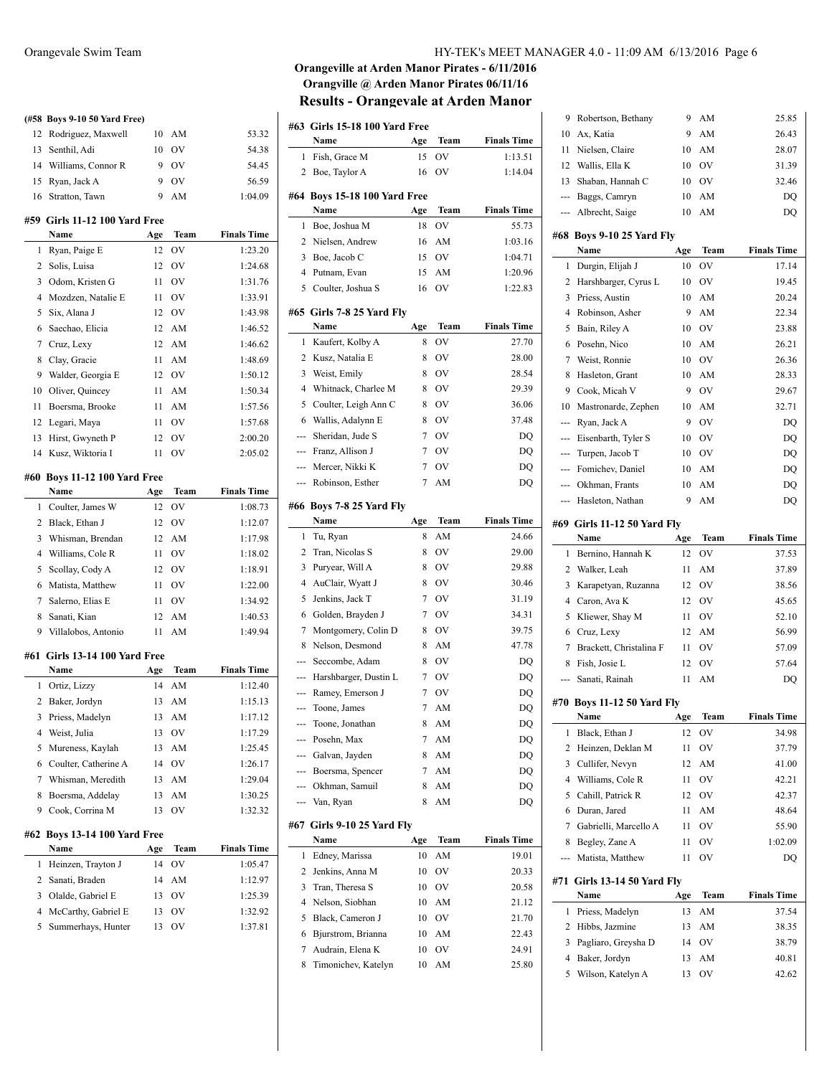|     | (#58 Boys 9-10 50 Yard Free)    |     |           |                    |
|-----|---------------------------------|-----|-----------|--------------------|
| 12  | Rodriguez, Maxwell              | 10  | AM        | 53.32              |
| 13  | Senthil, Adi                    | 10  | OV        | 54.38              |
|     | 14 Williams, Connor R           | 9   | <b>OV</b> | 54.45              |
| 15  | Ryan, Jack A                    | 9   | <b>OV</b> | 56.59              |
| 16  | Stratton, Tawn                  | 9   | AM        | 1:04.09            |
|     | #59 Girls 11-12 100 Yard Free   |     |           |                    |
|     | Name                            | Age | Team      | <b>Finals Time</b> |
| 1   | Ryan, Paige E                   | 12  | OV        | 1:23.20            |
| 2   | Solis, Luisa                    | 12  | OV        | 1:24.68            |
| 3   | Odom, Kristen G                 | 11  | OV        | 1:31.76            |
| 4   | Mozdzen, Natalie E              | 11  | OV        | 1:33.91            |
| 5   | Six, Alana J                    | 12  | <b>OV</b> | 1:43.98            |
| 6   | Saechao, Elicia                 | 12  | AM        | 1:46.52            |
| 7   | Cruz, Lexy                      | 12  | AM        | 1:46.62            |
| 8   | Clay, Gracie                    | 11  | AM        | 1:48.69            |
| 9   | Walder, Georgia E               | 12  | <b>OV</b> | 1:50.12            |
| 10  | Oliver, Quincey                 | 11  | AM        | 1:50.34            |
| 11  | Boersma, Brooke                 | 11  | AM        | 1:57.56            |
| 12  | Legari, Maya                    | 11  | <b>OV</b> | 1:57.68            |
| 13  | Hirst, Gwyneth P                | 12  | OV        | 2:00.20            |
| 14  | Kusz, Wiktoria I                | 11  | OV        | 2:05.02            |
|     |                                 |     |           |                    |
|     | #60 Boys 11-12 100 Yard Free    |     |           |                    |
|     | Name                            | Age | Team      | <b>Finals Time</b> |
| 1   | Coulter, James W                | 12  | OV        | 1:08.73            |
| 2   | Black, Ethan J                  | 12  | <b>OV</b> | 1:12.07            |
| 3   | Whisman, Brendan                | 12  | AM        | 1:17.98            |
| 4   | Williams, Cole R                | 11  | <b>OV</b> | 1:18.02            |
| 5   | Scollay, Cody A                 | 12  | <b>OV</b> | 1:18.91            |
| 6   | Matista, Matthew                | 11  | <b>OV</b> | 1:22.00            |
| 7   | Salerno, Elias E                | 11  | OV        | 1:34.92            |
| 8   | Sanati, Kian                    | 12  | AM        | 1:40.53            |
|     | 9 Villalobos, Antonio           | 11  | AM        | 1:49.94            |
|     | #61 Girls 13-14 100 Yard Free   |     |           |                    |
|     | Name                            | Age | Team      | <b>Finals Time</b> |
| 1   | Ortiz, Lizzy                    | 14  | AM        | 1:12.40            |
| 2   | Baker, Jordyn                   | 13  | AM        | 1:15.13            |
| 3   | Priess, Madelyn                 | 13  | AM        | 1:17.12            |
| 4   | Weist, Julia                    | 13  | OV        | 1:17.29            |
| 5   | Mureness, Kaylah                | 13  | AM        | 1:25.45            |
| 6   | Coulter, Catherine A            | 14  | OV        | 1:26.17            |
| 7   | Whisman, Meredith               | 13  | AM        | 1:29.04            |
| 8   | Boersma, Addelay                | 13  | AM        | 1:30.25            |
| 9   | Cook, Corrina M                 | 13  | OV        | 1:32.32            |
|     |                                 |     |           |                    |
| #62 | <b>Boys 13-14 100 Yard Free</b> |     |           |                    |
|     | Name                            | Age | Team      | <b>Finals Time</b> |
| 1   | Heinzen, Trayton J              | 14  | OV        | 1:05.47            |
| 2   | Sanati, Braden                  | 14  | AM        | 1:12.97            |
| 3   | Olalde, Gabriel E               | 13  | OV        | 1:25.39            |
| 4   | McCarthy, Gabriel E             | 13  | OV        | 1:32.92            |
| 5   | Summerhays, Hunter              | 13  | OV        | 1:37.81            |
|     |                                 |     |           |                    |
|     |                                 |     |           |                    |

## **Orangeville at Arden Manor Pirates - 6/11/2016 Orangville @ Arden Manor Pirates 06/11/16 Results - Orangevale at Arden Manor**

|                | #63   Girls 15-18 100 Yard Free |     |                              |                    |
|----------------|---------------------------------|-----|------------------------------|--------------------|
|                | Name                            | Age | Team                         | <b>Finals Time</b> |
| 1              | Fish, Grace M                   | 15  | OV                           | 1:13.51            |
| 2              | Boe, Taylor A                   | 16  | OV                           | 1:14.04            |
|                | #64 Boys 15-18 100 Yard Free    |     |                              |                    |
|                | Name                            | Age | Team                         | <b>Finals Time</b> |
| 1              | Boe, Joshua M                   | 18  | OV                           | 55.73              |
| 2              | Nielsen, Andrew                 | 16  | AM                           | 1:03.16            |
| 3              | Boe, Jacob C                    | 15  | OV                           | 1:04.71            |
| $\overline{4}$ | Putnam, Evan                    | 15  | AM                           | 1:20.96            |
| 5              | Coulter, Joshua S               | 16  | OV                           | 1:22.83            |
|                | #65 Girls 7-8 25 Yard Fly       |     |                              |                    |
|                | Name                            | Age | Team                         | <b>Finals Time</b> |
| 1              | Kaufert, Kolby A                | 8   | OV                           | 27.70              |
| 2              | Kusz, Natalia E                 | 8   | OV                           | 28.00              |
| 3              | Weist, Emily                    | 8   | OV                           | 28.54              |
| $\overline{4}$ | Whitnack, Charlee M             | 8   | OV                           | 29.39              |
| 5              | Coulter, Leigh Ann C            | 8   | OV                           | 36.06              |
| 6              | Wallis, Adalynn E               | 8   | OV                           | 37.48              |
| ---            | Sheridan, Jude S                | 7   | OV                           | DQ                 |
| ---            | Franz, Allison J                | 7   | OV                           | DQ                 |
| ---            | Mercer, Nikki K                 | 7   | OV                           | DQ                 |
| ---            | Robinson, Esther                | 7   | AM                           | DQ                 |
|                |                                 |     |                              |                    |
|                | #66 Boys 7-8 25 Yard Fly        |     |                              |                    |
|                | Name                            | Age | Team                         | <b>Finals Time</b> |
| 1              | Tu, Ryan                        | 8   | AM                           | 24.66              |
| 2              | Tran, Nicolas S                 | 8   | OV                           | 29.00              |
| 3              | Puryear, Will A                 | 8   | OV                           | 29.88              |
| 4              | AuClair, Wyatt J                | 8   | OV                           | 30.46              |
| 5              | Jenkins, Jack T                 | 7   | OV                           | 31.19              |
| 6              | Golden, Brayden J               | 7   | OV                           | 34.31              |
| 7              | Montgomery, Colin D             | 8   | OV                           | 39.75              |
| 8              | Nelson, Desmond                 | 8   | AM                           | 47.78              |
| ---            | Seccombe, Adam                  | 8   | OV                           | DQ                 |
| ---            | Harshbarger, Dustin L           | 7   | OV                           | DQ                 |
| ---            | Ramey, Emerson J                | 7   | OV                           | DQ                 |
| ---            | Toone, James                    | 7   | AM                           | DQ                 |
|                | Toone, Jonathan                 | 8   | AM                           | DQ                 |
|                | Posehn, Max                     | 7   | AM<br>$\mathbf{A}\mathbf{M}$ | DQ                 |
|                | --- Galvan, Jayden              | 8   |                              | DQ                 |
| ---            |                                 |     |                              |                    |
|                | Boersma, Spencer                | 7   | AM                           | DQ                 |
|                | --- Okhman, Samuil              | 8   | AM                           | DQ                 |
| ---            | Van, Ryan                       | 8   | AM                           | DQ                 |
|                | Girls 9-10 25 Yard Fly          |     |                              |                    |
|                | Name                            | Age | Team                         | <b>Finals Time</b> |
| 1              | Edney, Marissa                  | 10  | AM                           | 19.01              |
| 2              | Jenkins, Anna M                 | 10  | OV                           | 20.33              |
| #67<br>3       | Tran, Theresa S                 | 10  | OV                           | 20.58              |
| 4              | Nelson, Siobhan                 | 10  | AM                           | 21.12              |
| 5              | Black, Cameron J                | 10  | OV                           | 21.70              |
| 6              | Bjurstrom, Brianna              | 10  | AM                           | 22.43              |
| 7              | Audrain, Elena K                | 10  | OV                           | 24.91              |

| 9                                                                                                                                                                                                                                                                                                                                                                                                                                                                          | Robertson, Bethany                | 9   | AΜ   | 25.85              |
|----------------------------------------------------------------------------------------------------------------------------------------------------------------------------------------------------------------------------------------------------------------------------------------------------------------------------------------------------------------------------------------------------------------------------------------------------------------------------|-----------------------------------|-----|------|--------------------|
| 10                                                                                                                                                                                                                                                                                                                                                                                                                                                                         | Ax, Katia                         | 9   | AM   | 26.43              |
| 11                                                                                                                                                                                                                                                                                                                                                                                                                                                                         | Nielsen, Claire                   | 10  | AM   | 28.07              |
| 12                                                                                                                                                                                                                                                                                                                                                                                                                                                                         | Wallis, Ella K                    | 10  | OV   | 31.39              |
| 13                                                                                                                                                                                                                                                                                                                                                                                                                                                                         | Shaban, Hannah C                  | 10  | OV   | 32.46              |
| ---                                                                                                                                                                                                                                                                                                                                                                                                                                                                        | Baggs, Camryn                     | 10  | AM   | DQ                 |
| ---                                                                                                                                                                                                                                                                                                                                                                                                                                                                        | Albrecht, Saige                   | 10  | AM   | DQ                 |
|                                                                                                                                                                                                                                                                                                                                                                                                                                                                            |                                   |     |      |                    |
|                                                                                                                                                                                                                                                                                                                                                                                                                                                                            | #68 Boys 9-10 25 Yard Fly<br>Name | Age | Team | <b>Finals Time</b> |
| 1                                                                                                                                                                                                                                                                                                                                                                                                                                                                          | Durgin, Elijah J                  | 10  | OV   | 17.14              |
| 2                                                                                                                                                                                                                                                                                                                                                                                                                                                                          | Harshbarger, Cyrus L              | 10  | OV   | 19.45              |
| 3                                                                                                                                                                                                                                                                                                                                                                                                                                                                          | Priess, Austin                    | 10  | AM   | 20.24              |
| 4                                                                                                                                                                                                                                                                                                                                                                                                                                                                          | Robinson, Asher                   | 9   | AM   | 22.34              |
| 5                                                                                                                                                                                                                                                                                                                                                                                                                                                                          | Bain, Riley A                     | 10  | OV   | 23.88              |
| 6                                                                                                                                                                                                                                                                                                                                                                                                                                                                          | Posehn, Nico                      | 10  | AM   | 26.21              |
| 7                                                                                                                                                                                                                                                                                                                                                                                                                                                                          | Weist, Ronnie                     | 10  | OV   | 26.36              |
| 8                                                                                                                                                                                                                                                                                                                                                                                                                                                                          | Hasleton, Grant                   | 10  | AM   | 28.33              |
| 9                                                                                                                                                                                                                                                                                                                                                                                                                                                                          | Cook, Micah V                     | 9   | OV   | 29.67              |
| 10                                                                                                                                                                                                                                                                                                                                                                                                                                                                         | Mastronarde, Zephen               | 10  | AM   | 32.71              |
| $\cdots$                                                                                                                                                                                                                                                                                                                                                                                                                                                                   | Ryan, Jack A                      | 9   | OV   | DQ                 |
| ---                                                                                                                                                                                                                                                                                                                                                                                                                                                                        | Eisenbarth, Tyler S               | 10  | OV   | DQ                 |
| ---                                                                                                                                                                                                                                                                                                                                                                                                                                                                        | Turpen, Jacob T                   | 10  | OV   | DQ                 |
| $\frac{1}{2} \left( \frac{1}{2} \right) \left( \frac{1}{2} \right) \left( \frac{1}{2} \right) \left( \frac{1}{2} \right) \left( \frac{1}{2} \right) \left( \frac{1}{2} \right) \left( \frac{1}{2} \right) \left( \frac{1}{2} \right) \left( \frac{1}{2} \right) \left( \frac{1}{2} \right) \left( \frac{1}{2} \right) \left( \frac{1}{2} \right) \left( \frac{1}{2} \right) \left( \frac{1}{2} \right) \left( \frac{1}{2} \right) \left( \frac{1}{2} \right) \left( \frac$ | Fomichev, Daniel                  | 10  | AM   | DQ                 |
| ---                                                                                                                                                                                                                                                                                                                                                                                                                                                                        | Okhman, Frants                    | 10  | AM   | DQ                 |
| ---                                                                                                                                                                                                                                                                                                                                                                                                                                                                        | Hasleton, Nathan                  | 9   | AM   | DQ                 |
|                                                                                                                                                                                                                                                                                                                                                                                                                                                                            |                                   |     |      |                    |
|                                                                                                                                                                                                                                                                                                                                                                                                                                                                            | #69 Girls 11-12 50 Yard Fly       |     |      |                    |
|                                                                                                                                                                                                                                                                                                                                                                                                                                                                            | Name                              | Age | Team | <b>Finals Time</b> |
|                                                                                                                                                                                                                                                                                                                                                                                                                                                                            |                                   |     |      |                    |
| 1                                                                                                                                                                                                                                                                                                                                                                                                                                                                          | Bernino, Hannah K                 | 12  | OV   | 37.53              |
| 2                                                                                                                                                                                                                                                                                                                                                                                                                                                                          | Walker, Leah                      | 11  | AM   | 37.89              |
| 3                                                                                                                                                                                                                                                                                                                                                                                                                                                                          | Karapetyan, Ruzanna               | 12  | OV   | 38.56              |
| 4                                                                                                                                                                                                                                                                                                                                                                                                                                                                          | Caron, Ava K                      | 12  | OV   | 45.65              |
| 5                                                                                                                                                                                                                                                                                                                                                                                                                                                                          | Kliewer, Shay M                   | 11  | OV   | 52.10              |
| 6                                                                                                                                                                                                                                                                                                                                                                                                                                                                          | Cruz, Lexy                        | 12  | AM   | 56.99              |
| 7                                                                                                                                                                                                                                                                                                                                                                                                                                                                          | Brackett, Christalina F           | 11  | OV   | 57.09              |
| 8                                                                                                                                                                                                                                                                                                                                                                                                                                                                          | Fish, Josie L                     | 12  | OV   | 57.64              |
|                                                                                                                                                                                                                                                                                                                                                                                                                                                                            | Sanati, Rainah                    | 11  | AM   | DQ                 |
|                                                                                                                                                                                                                                                                                                                                                                                                                                                                            | #70 Boys 11-12 50 Yard Fly        |     |      |                    |
|                                                                                                                                                                                                                                                                                                                                                                                                                                                                            | Name                              | Age | Team | <b>Finals Time</b> |
| 1                                                                                                                                                                                                                                                                                                                                                                                                                                                                          | Black, Ethan J                    | 12  | OV   | 34.98              |
| 2                                                                                                                                                                                                                                                                                                                                                                                                                                                                          | Heinzen, Deklan M                 | 11  | OV   | 37.79              |
| 3                                                                                                                                                                                                                                                                                                                                                                                                                                                                          | Cullifer, Nevyn                   | 12  | AM   | 41.00              |
| 4                                                                                                                                                                                                                                                                                                                                                                                                                                                                          | Williams, Cole R                  | 11  | ov   | 42.21              |
| 5                                                                                                                                                                                                                                                                                                                                                                                                                                                                          | Cahill, Patrick R                 | 12  | OV   | 42.37              |
| 6                                                                                                                                                                                                                                                                                                                                                                                                                                                                          | Duran, Jared                      | 11  | AM   | 48.64              |
| 7                                                                                                                                                                                                                                                                                                                                                                                                                                                                          | Gabrielli, Marcello A             | 11  | OV   | 55.90              |
| 8                                                                                                                                                                                                                                                                                                                                                                                                                                                                          | Begley, Zane A                    | 11  | OV   | 1:02.09            |
|                                                                                                                                                                                                                                                                                                                                                                                                                                                                            | Matista, Matthew                  | 11  | OV   | DQ                 |
|                                                                                                                                                                                                                                                                                                                                                                                                                                                                            | #71 Girls 13-14 50 Yard Fly       |     |      |                    |
|                                                                                                                                                                                                                                                                                                                                                                                                                                                                            | Name                              | Age | Team | <b>Finals Time</b> |
| 1                                                                                                                                                                                                                                                                                                                                                                                                                                                                          | Priess, Madelyn                   | 13  | AM   | 37.54              |
| 2                                                                                                                                                                                                                                                                                                                                                                                                                                                                          | Hibbs, Jazmine                    | 13  | AM   | 38.35              |
| 3                                                                                                                                                                                                                                                                                                                                                                                                                                                                          | Pagliaro, Greysha D               | 14  | OV   | 38.79              |
| 4                                                                                                                                                                                                                                                                                                                                                                                                                                                                          | Baker, Jordyn                     | 13  | AM   | 40.81              |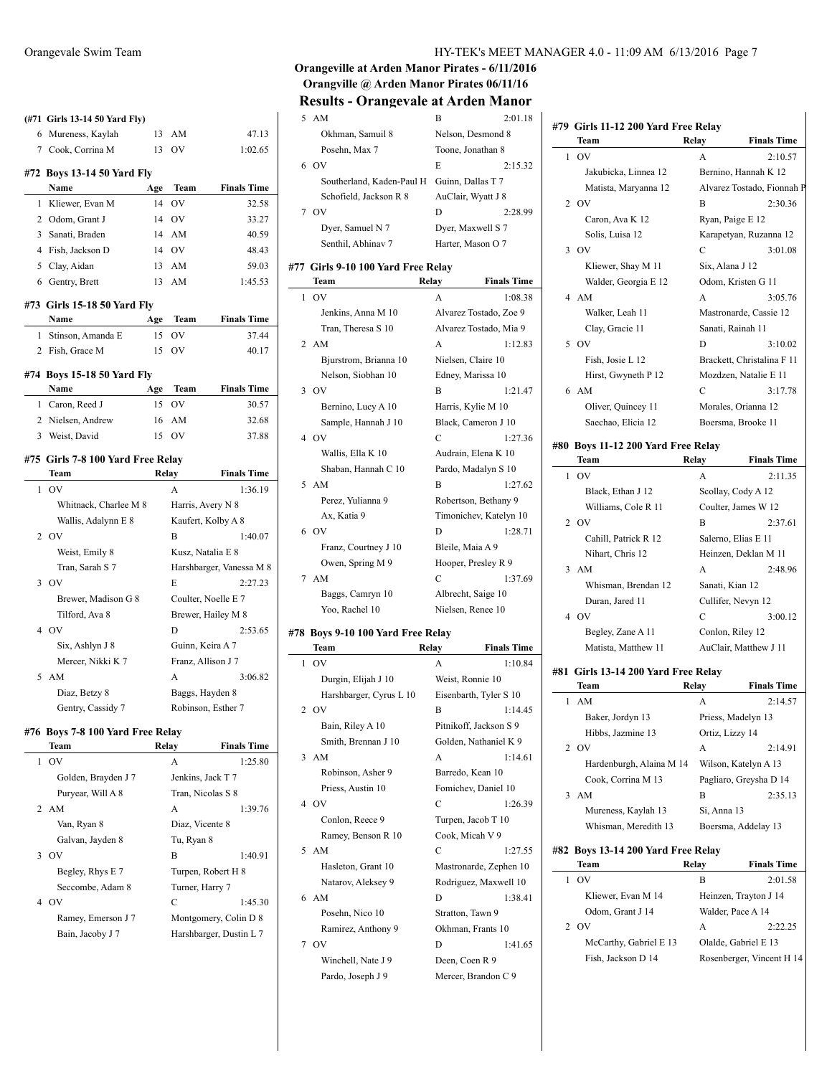|   | (#71 Girls 13-14 50 Yard Fly)     |       |                    |                               |
|---|-----------------------------------|-------|--------------------|-------------------------------|
|   | 6 Mureness, Kaylah                | 13    | AM                 | 47.13                         |
|   | 7 Cook, Corrina M                 | 13    | OV                 | 1:02.65                       |
|   | #72 Boys 13-14 50 Yard Fly        |       |                    |                               |
|   | Name                              | Age   | Team               | <b>Finals Time</b>            |
| 1 | Kliewer, Evan M                   | 14    | <b>OV</b>          | 32.58                         |
|   | 2 Odom, Grant J                   | 14    | <b>OV</b>          | 33.27                         |
|   | 3 Sanati, Braden                  | 14    | AM                 | 40.59                         |
|   | 4 Fish, Jackson D                 | 14    | <b>OV</b>          | 48.43                         |
|   | 5 Clay, Aidan                     | 13    | AM                 | 59.03                         |
|   | 6 Gentry, Brett                   | 13    | AM                 | 1:45.53                       |
|   | #73  Girls 15-18 50 Yard Fly      |       |                    |                               |
|   | Name                              | Age   | Team               | <b>Finals Time</b>            |
| 1 | Stinson, Amanda E                 | 15    | OV                 | 37.44                         |
| 2 | Fish, Grace M                     | 15    | OV                 | 40.17                         |
|   | #74 Boys 15-18 50 Yard Fly        |       |                    |                               |
|   | Name                              | Age   | Team               | <b>Finals Time</b>            |
| 1 | Caron, Reed J                     | 15    | OV                 | 30.57                         |
| 2 | Nielsen, Andrew                   | 16    | AM                 | 32.68                         |
|   | 3 Weist, David                    | 15    | O <sub>V</sub>     | 37.88                         |
|   |                                   |       |                    |                               |
|   | #75 Girls 7-8 100 Yard Free Relay |       |                    |                               |
| 1 | Team<br>O <sub>V</sub>            | Relay | A                  | <b>Finals Time</b><br>1:36.19 |
|   | Whitnack, Charlee M 8             |       | Harris, Avery N 8  |                               |
|   | Wallis, Adalynn E 8               |       |                    | Kaufert, Kolby A 8            |
| 2 | OV                                |       | B                  | 1:40.07                       |
|   | Weist, Emily 8                    |       | Kusz, Natalia E 8  |                               |
|   | Tran, Sarah S 7                   |       |                    | Harshbarger, Vanessa M 8      |
|   | $3$ OV                            |       | E                  | 2:27.23                       |
|   | Brewer, Madison G 8               |       |                    | Coulter, Noelle E 7           |
|   | Tilford, Ava 8                    |       |                    | Brewer, Hailey M 8            |
|   | 4 OV                              |       | D                  | 2:53.65                       |
|   | Six, Ashlyn J 8                   |       | Guinn, Keira A 7   |                               |
|   | Mercer, Nikki K 7                 |       | Franz, Allison J 7 |                               |
| 5 | AM                                |       | A                  | 3:06.82                       |
|   | Diaz, Betzy 8                     |       | Baggs, Hayden 8    |                               |
|   | Gentry, Cassidy 7                 |       |                    | Robinson, Esther 7            |
|   | #76 Boys 7-8 100 Yard Free Relay  |       |                    |                               |
|   | Team                              |       | Relay              | <b>Finals Time</b>            |
|   |                                   |       |                    |                               |

|   | OV                  | A                       | 1:25.80 |
|---|---------------------|-------------------------|---------|
|   | Golden, Brayden J 7 | Jenkins, Jack T 7       |         |
|   | Puryear, Will A 8   | Tran, Nicolas S 8       |         |
|   | 2 AM                | A                       | 1:39.76 |
|   | Van, Ryan 8         | Diaz, Vicente 8         |         |
|   | Galvan, Jayden 8    | Tu, Ryan 8              |         |
| 3 | $_{\rm OV}$         | R                       | 1:40.91 |
|   | Begley, Rhys E 7    | Turpen, Robert H 8      |         |
|   | Seccombe, Adam 8    | Turner, Harry 7         |         |
|   | 4 OV                | C                       | 1:45.30 |
|   | Ramey, Emerson J 7  | Montgomery, Colin D 8   |         |
|   | Bain, Jacoby J 7    | Harshbarger, Dustin L 7 |         |
|   |                     |                         |         |

## **Orangeville at Arden Manor Pirates - 6/11/2016 Orangville @ Arden Manor Pirates 06/11/16 Results - Orangevale at Arden Manor**

| 5 | AM                                   | B                      | 2:01.18            |
|---|--------------------------------------|------------------------|--------------------|
|   | Okhman, Samuil 8                     | Nelson, Desmond 8      |                    |
|   | Posehn, Max 7                        | Toone, Jonathan 8      |                    |
|   | 6 OV                                 | E                      | 2:15.32            |
|   | Southerland, Kaden-Paul H            | Guinn, Dallas T 7      |                    |
|   | Schofield, Jackson R 8               | AuClair, Wyatt J 8     |                    |
|   | 7 OV                                 | D                      | 2:28.99            |
|   | Dyer, Samuel N 7                     | Dyer, Maxwell S 7      |                    |
|   | Senthil, Abhinav 7                   | Harter, Mason O 7      |                    |
|   | #77 Girls 9-10 100 Yard Free Relay   |                        |                    |
|   | Team                                 | Relay                  | <b>Finals Time</b> |
| 1 | OV                                   | A                      | 1:08.38            |
|   | Jenkins, Anna M 10                   | Alvarez Tostado, Zoe 9 |                    |
|   | Tran, Theresa S 10                   | Alvarez Tostado, Mia 9 |                    |
|   | 2 AM                                 | A                      | 1:12.83            |
|   | Bjurstrom, Brianna 10                | Nielsen, Claire 10     |                    |
|   | Nelson, Siobhan 10                   | Edney, Marissa 10      |                    |
| 3 | OV                                   | В                      | 1:21.47            |
|   | Bernino, Lucy A 10                   | Harris, Kylie M 10     |                    |
|   | Sample, Hannah J 10                  | Black, Cameron J 10    |                    |
|   | 4 OV                                 | C                      | 1:27.36            |
|   | Wallis, Ella K 10                    | Audrain, Elena K 10    |                    |
|   | Shaban, Hannah C 10                  | Pardo, Madalyn S 10    |                    |
|   | 5 AM                                 | B                      | 1:27.62            |
|   | Perez, Yulianna 9                    | Robertson, Bethany 9   |                    |
|   | Ax, Katia 9                          | Timonichev, Katelyn 10 |                    |
| 6 | <b>OV</b>                            | D                      | 1:28.71            |
|   | Franz, Courtney J 10                 | Bleile, Maia A 9       |                    |
|   | Owen, Spring M 9                     | Hooper, Presley R 9    |                    |
| 7 | AM                                   | C                      | 1:37.69            |
|   | Baggs, Camryn 10                     | Albrecht, Saige 10     |                    |
|   | Yoo, Rachel 10                       | Nielsen, Renee 10      |                    |
|   | $\#79$ Dove 0.10.100 Vand Free Delay |                        |                    |

 $\overline{\phantom{0}}$ 

# **#78 Boys 9-10 100 Yard Free Relay**

|                | Team                    | Relay            | <b>Finals Time</b>     |
|----------------|-------------------------|------------------|------------------------|
| 1              | OV                      | A                | 1:10.84                |
|                | Durgin, Elijah J 10     | Weist, Ronnie 10 |                        |
|                | Harshbarger, Cyrus L 10 |                  | Eisenbarth, Tyler S 10 |
| $\overline{2}$ | O <sub>V</sub>          | B                | 1:14.45                |
|                | Bain, Riley A 10        |                  | Pitnikoff, Jackson S 9 |
|                | Smith, Brennan J 10     |                  | Golden, Nathaniel K 9  |
| 3              | AM                      | A                | 1:14.61                |
|                | Robinson, Asher 9       | Barredo, Kean 10 |                        |
|                | Priess, Austin 10       |                  | Fomichev, Daniel 10    |
|                | 4 OV                    | C                | 1:26.39                |
|                | Conlon, Reece 9         |                  | Turpen, Jacob T 10     |
|                | Ramey, Benson R 10      | Cook, Micah V 9  |                        |
|                | 5 AM                    | C                | 1:27.55                |
|                | Hasleton, Grant 10      |                  | Mastronarde, Zephen 10 |
|                | Natarov, Aleksey 9      |                  | Rodriguez, Maxwell 10  |
|                | 6 AM                    | D                | 1:38.41                |
|                | Posehn, Nico 10         | Stratton, Tawn 9 |                        |
|                | Ramirez, Anthony 9      |                  | Okhman, Frants 10      |
| 7              | O <sub>V</sub>          | D                | 1:41.65                |
|                | Winchell, Nate J 9      | Deen, Coen R 9   |                        |
|                | Pardo, Joseph J 9       |                  | Mercer, Brandon C 9    |

# **#79 Girls 11-12 200 Yard Free Relay**

|   | Team                                         | Relay            | <b>Finals Time</b>                                |
|---|----------------------------------------------|------------------|---------------------------------------------------|
| 1 | OV                                           | A                | 2:10.57                                           |
|   | Jakubicka, Linnea 12                         |                  | Bernino, Hannah K 12                              |
|   | Matista, Maryanna 12                         |                  | Alvarez Tostado, Fionnah P                        |
|   | 2 OV                                         | B                | 2:30.36                                           |
|   | Caron, Ava K 12                              |                  | Ryan, Paige E 12                                  |
|   | Solis, Luisa 12                              |                  | Karapetyan, Ruzanna 12                            |
| 3 | <b>OV</b>                                    | C                | 3:01.08                                           |
|   | Kliewer, Shay M 11                           | Six, Alana J 12  |                                                   |
|   | Walder, Georgia E 12                         |                  | Odom, Kristen G 11                                |
| 4 | AM                                           | A                | 3:05.76                                           |
|   | Walker, Leah 11                              |                  | Mastronarde, Cassie 12                            |
|   | Clay, Gracie 11                              |                  | Sanati, Rainah 11                                 |
|   | 5 OV                                         | D                | 3:10.02                                           |
|   | Fish, Josie L 12                             |                  | Brackett, Christalina F 11                        |
|   | Hirst, Gwyneth P 12                          |                  | Mozdzen, Natalie E 11                             |
|   | 6 AM                                         | С                | 3:17.78                                           |
|   | Oliver, Quincey 11                           |                  | Morales, Orianna 12                               |
|   | Saechao, Elicia 12                           |                  | Boersma, Brooke 11                                |
|   |                                              |                  |                                                   |
|   | #80 Boys 11-12 200 Yard Free Relay           |                  |                                                   |
|   | Team                                         | Relay            | <b>Finals Time</b>                                |
| 1 | O <sub>V</sub>                               | A                | 2:11.35                                           |
|   | Black, Ethan J 12                            |                  | Scollay, Cody A 12                                |
|   | Williams, Cole R 11                          |                  | Coulter, James W 12                               |
|   | 2.0V                                         | B                | 2:37.61                                           |
|   | Cahill, Patrick R 12                         |                  | Salerno, Elias E 11                               |
|   | Nihart, Chris 12                             |                  | Heinzen, Deklan M 11                              |
|   | 3 AM                                         | A                | 2:48.96                                           |
|   | Whisman, Brendan 12                          | Sanati, Kian 12  |                                                   |
|   | Duran, Jared 11                              |                  | Cullifer, Nevyn 12                                |
|   | 4 OV                                         | C                | 3:00.12                                           |
|   | Begley, Zane A 11                            | Conlon, Riley 12 |                                                   |
|   | Matista, Matthew 11                          |                  | AuClair, Matthew J 11                             |
|   | #81 Girls 13-14 200 Yard Free Relay          |                  |                                                   |
|   | Team                                         | Relay            | <b>Finals Time</b>                                |
| 1 | AM                                           | A                | 2:14.57                                           |
|   | Baker, Jordyn 13                             |                  | Priess, Madelyn 13                                |
|   | Hibbs, Jazmine 13                            | Ortiz, Lizzy 14  |                                                   |
| 2 | <b>OV</b>                                    | А                | 2:14.91                                           |
|   | Hardenburgh, Alaina M 14                     |                  | Wilson, Katelyn A 13                              |
|   | Cook, Corrina M 13                           |                  | Pagliaro, Greysha D 14                            |
| 3 | AM                                           | B                | 2:35.13                                           |
|   | Mureness, Kaylah 13                          | Si, Anna 13      |                                                   |
|   |                                              |                  | Boersma, Addelay 13                               |
|   | Whisman, Meredith 13                         |                  |                                                   |
|   |                                              |                  |                                                   |
|   | #82 Boys 13-14 200 Yard Free Relay           |                  |                                                   |
|   | Team                                         | Relay            | <b>Finals Time</b>                                |
| 1 | OV                                           | B                | 2:01.58                                           |
|   | Kliewer, Evan M 14                           |                  | Heinzen, Trayton J 14                             |
|   | Odom, Grant J 14                             |                  | Walder, Pace A 14                                 |
| 2 | <b>OV</b>                                    | А                | 2:22.25                                           |
|   | McCarthy, Gabriel E 13<br>Fish, Jackson D 14 |                  | Olalde, Gabriel E 13<br>Rosenberger, Vincent H 14 |